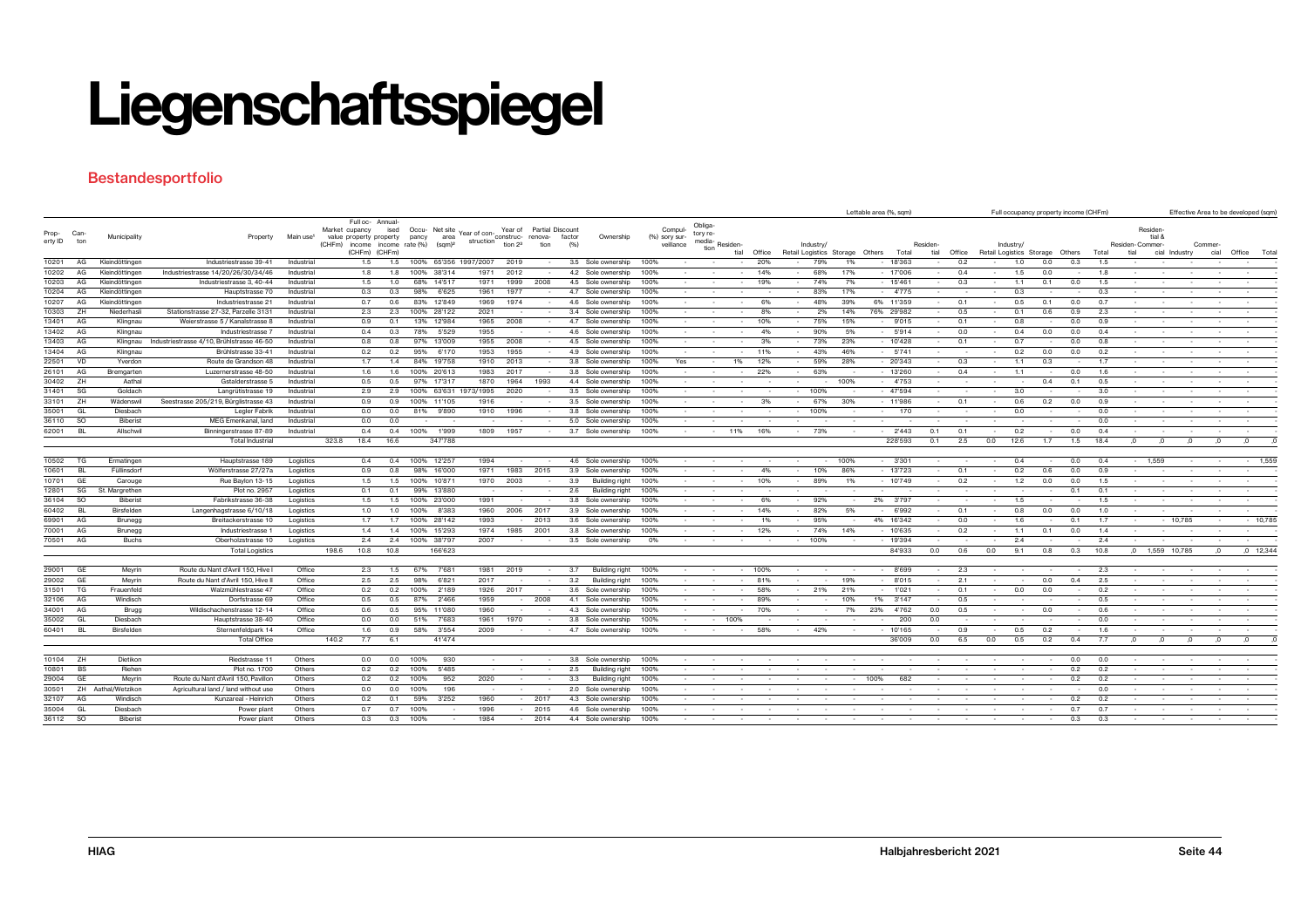#### **Bestandesportfolio**

|                |              |                              |                                               |                          |                                           |                          |                             |                             |                     |                  |                                          |               |           |          |          |        |        |                                 |      | Lettable area (%, sqm) |          |        |                                 |      |     | Full occupancy property income (CHFm) |            |                 |                   |          |          | Effective Area to be developed (sqm) |
|----------------|--------------|------------------------------|-----------------------------------------------|--------------------------|-------------------------------------------|--------------------------|-----------------------------|-----------------------------|---------------------|------------------|------------------------------------------|---------------|-----------|----------|----------|--------|--------|---------------------------------|------|------------------------|----------|--------|---------------------------------|------|-----|---------------------------------------|------------|-----------------|-------------------|----------|----------|--------------------------------------|
|                |              |                              |                                               |                          |                                           | Full oc- Annual-         |                             |                             |                     |                  |                                          |               |           | Obliga   |          |        |        |                                 |      |                        |          |        |                                 |      |     |                                       |            |                 |                   |          |          |                                      |
| Prop- Can-     |              | Municipality                 | Property                                      | Main use <sup>1</sup>    | Market cupancy<br>value property property | ised                     | Occu- Net site<br>area      | Year of con-                | Year of             | Partial Discount | Ownership<br>factor                      | (%) sory sur- | Compul-   | tory re- |          |        |        |                                 |      |                        |          |        |                                 |      |     |                                       |            |                 | Residen<br>tial & |          |          |                                      |
| erty ID ton    |              |                              |                                               |                          | (CHFm)                                    | income income rate (%)   | pancy<br>(sqm) <sup>2</sup> | struction construc- renova- | tion 2 <sup>3</sup> | tion             | (96)                                     |               | veillance | media    | Residen- |        |        | Industry/                       |      |                        | Residen- |        | Industry/                       |      |     |                                       |            | Residen-Commer- |                   |          | Commer   |                                      |
|                |              |                              |                                               |                          |                                           | (CHFm) (CHFm)            |                             |                             |                     |                  |                                          |               |           | tion     | tial     | Office |        | Retail Logistics Storage Others |      | Total                  | tial     | Office | Retail Logistics Storage Others |      |     |                                       | Total      | tial            | cial Industry     |          | cial     | Office Total                         |
| 10201          | AG           | Kleindöttinger               | Industriestrasse 39-41                        | Industrial               |                                           | 1.5<br>1.5               | 100% 65'356 1997/2007       |                             | 2019                |                  | 3.5 Sole ownership                       | 100%          |           |          |          | 20%    |        | 79%                             | 1%   | - 18'363               |          | 0.2    |                                 | 1.0  | 0.0 | 0.3                                   | 1.5        |                 |                   |          |          |                                      |
| 10202          | AG           | Kleindöttingen               | Industriestrasse 14/20/26/30/34/46            | Industrial               |                                           | 1.8<br>1.8               | 100% 38'314                 | 1971                        | 2012                |                  | 4.2 Sole ownership                       | 100%          |           |          | $\sim$   | 14%    |        | 68%                             | 17%  | $-17'006$              | $\sim$   | 0.4    |                                 | 1.5  | 0.0 |                                       | 1.8        |                 |                   |          |          |                                      |
| 10203          | AG           | Kleindöttinger               | Industriestrasse 3, 40-44                     | Industrial               |                                           | 1.0<br>1.5               | 68%<br>14'51                | 1971                        | 1999                | 2008             | 4.5 Sole ownership                       | 100%          |           |          |          | 19%    |        | 74%                             | 7%   | $-15'461$              |          | 0.3    |                                 | 1.1  | 0.1 | 0.0                                   | 1.5        |                 |                   |          |          |                                      |
| 10204          | AG           | Kleindöttinger               | Hauptstrasse 70                               | Industrial               |                                           | 0.3<br>0.3               | 98%<br>6'625                | 1961                        | 1977                |                  | 4.7 Sole ownership                       | 100%          |           |          |          |        |        | 83%                             | 17%  | 4'775                  |          |        |                                 | 0.3  |     |                                       | 0.3        |                 |                   |          |          |                                      |
| 10207          | AG           | Kleindöttinger               | Industriestrasse 21                           | Industrial               |                                           | 0.7<br>0.6               | 83% 12'849                  | 1969                        | 1974                |                  | 4.6<br>Sole ownership                    | 100%          |           |          |          | 6%     |        | 48%                             | 39%  | 6% 11'359              |          | 0.1    |                                 | 0.5  | 0.1 | 0.0                                   | 0.7        |                 |                   |          |          |                                      |
| 10303          | ZH           | Niederhas                    | Stationstrasse 27-32, Parzelle 3131           | Industrial               |                                           | 2.3<br>2.3               | 100% 28'122                 | 2021                        |                     |                  | 3.4 Sole ownership                       | 100%          |           |          |          |        |        | 2%                              | 14%  | 76% 29'982             |          | 0.5    |                                 | 0.1  | 0.6 | 0.9                                   | 2.3        |                 |                   |          |          |                                      |
| 13401          | AG           | Klingnau                     | Weierstrasse 5 / Kanalstrasse &               | Industrial               |                                           | 0.9<br>0.1               | 13% 12'984                  | 1965                        | 2008                |                  | 4.7 Sole ownership                       | 100%          |           |          |          | 10%    |        | 75%                             | 15%  | 9'015                  | $\sim$   | 0.1    |                                 | 0.8  |     | 0.0                                   | 0.9        |                 |                   |          |          |                                      |
| 13402          | AG           | Klingnau                     | Industriestrasse                              | Industrial               |                                           | 0.4<br>0.3               | 78%<br>5'529                | 1955                        |                     |                  | 4.6 Sole ownership                       | 100%          |           |          |          | 4%     |        | 90%                             | 5%   | $-5'914$               | $\sim$   | 0.0    |                                 | 0.4  | 0.0 | 0.0                                   | 0.4        |                 |                   |          |          |                                      |
| 13403          | AG           | Klingnau                     | Industriestrasse 4/10, Brühlstrasse 46-50     | Industrial               |                                           | 0.8<br>0.8               | 97% 13'009                  | 1955                        | 2008                |                  | 4.5 Sole ownership                       | 100%          |           |          | $\sim$   | 3%     |        | 73%                             | 23%  | $-10'428$              | $\sim$   | 0.1    |                                 | 0.7  |     | 0.0                                   | 0.8        |                 |                   |          |          |                                      |
| 13404          | AG           | Klingnau                     | Brühlstrasse 33-41                            | Industrial               |                                           | 0.2<br>0.2               | 95%<br>6'170                | 1953                        | 1955                |                  | 4.9 Sole ownership                       | 100%          |           |          |          | 11%    |        | 43%                             | 46%  | $-5'741$               | $\sim$   |        |                                 | 0.2  | 0.0 | 0.0                                   | 0.2        |                 |                   |          |          |                                      |
| 22501          | VD           | Yverdon                      | Route de Grandson 48                          | Industrial               |                                           | 1.7<br>1.4               | 84% 19'758                  | 1910                        | 2013                |                  | 3.8 Sole ownership                       | 100%          | Yes       |          | 1%       | 12%    |        | 59%                             | 28%  | 20'343                 |          | 0.3    |                                 | 1.1  | 0.3 |                                       | 1.7        |                 |                   |          |          |                                      |
| 26101          | AG           | Bremgarten                   | Luzernerstrasse 48-50                         | Industrial               |                                           | 1.6<br>1.6               | 100% 20'613                 | 1983                        | 2017                |                  | 3.8 Sole ownership                       | 100%          |           |          |          | 22%    |        | 63%                             |      | $-13'260$              |          | 0.4    |                                 | 1.1  |     | 0.0                                   | 1.6        |                 |                   |          |          |                                      |
| 30402          | ZH<br>-SG    | Aathal                       | Gstalderstrasse 5                             | Industrial               |                                           | 0.5<br>0.5               | 97% 17'317                  | 1870                        | 1964                | 1993             | 4.4 Sole ownership                       | 100%          |           |          |          |        |        |                                 | 100% | 4'753                  |          |        |                                 |      | 0.4 | 0.1                                   | 0.5        |                 |                   |          |          |                                      |
| 31401          |              | Goldach                      | Langrütistrasse 19                            | Industrial               |                                           | 2.9<br>2.9               | 100% 63'631                 | 1973/1995                   | 2020                |                  | 3.5 Sole ownership                       | 100%          |           |          |          |        |        | 100%                            |      | $-47594$               |          |        |                                 | 3.0  |     |                                       | 3.0        |                 |                   |          |          |                                      |
| 33101          | ZH           | Wädenswil                    | Seestrasse 205/219, Bürglistrasse 43          | Industrial               |                                           | 0.9<br>0.9               | 100%<br>11'105              | 1916                        |                     |                  | 3.5 Sole ownership                       | 100%          |           |          |          | 3%     |        | 67%                             | 30%  | $-11'986$              |          | 0.1    |                                 | 0.6  | 0.2 | 0.0                                   | 0.9        |                 |                   |          |          |                                      |
| 35001          | GL           | Diesbach                     | Legler Fabrik                                 | Industrial               |                                           | 0.0<br>0.0               | 81%<br>9'890                | 1910                        | 1996                |                  | 3.8 Sole ownership                       | 100%          |           |          |          |        |        | 100%                            |      | 170                    |          |        |                                 | 0.0  |     |                                       | 0.0        |                 |                   |          |          |                                      |
| 36110<br>62001 | - SO<br>- BL | <b>Biberist</b><br>Allschwil | MEG Emenkanal, land<br>Binningerstrasse 87-89 | Industrial<br>Industrial |                                           | 0.0<br>0.0<br>0.4<br>0.4 | 100%<br>1'999               | 1809                        | 1957                |                  | 5.0 Sole ownership<br>3.7 Sole ownership | 100%<br>100%  |           |          | 11%      | 16%    | $\sim$ | 73%                             |      | $-2'443$               | 0.1      | 0.1    |                                 | 0.2  |     | 0.0                                   | 0.0<br>0.4 |                 |                   |          |          |                                      |
|                |              |                              | Total Industrial                              |                          | 323.8<br>18.4                             | 16.6                     | 347'788                     |                             |                     |                  |                                          |               |           |          |          |        |        |                                 |      | 228'593                | 0.1      | 2.5    | 0.0                             | 12.6 | 1.7 | 1.5                                   | 18.4       |                 |                   | $\Omega$ | $\Omega$ |                                      |
|                |              |                              |                                               |                          |                                           |                          |                             |                             |                     |                  |                                          |               |           |          |          |        |        |                                 |      |                        |          |        |                                 |      |     |                                       |            |                 |                   |          |          |                                      |
| 10502          | TG           | Ermatingen                   | Hauptstrasse 189                              | Logistics                |                                           | 0.4<br>0.4               | 100% 12'257                 | 1994                        |                     |                  | 4.6 Sole ownership                       | 100%          |           |          |          |        |        |                                 | 100% | $-3'301$               |          |        |                                 | 0.4  |     | 0.0                                   | 0.4        | $-1,559$        |                   |          |          | $-1,559$                             |
| 10601          | <b>BL</b>    | Füllinsdorf                  | Wölferstrasse 27/27a                          | Logistics                |                                           | 0.8<br>0.9               | 98%<br>16'000               | 1971                        | 1983                | 2015             | 3.9<br>Sole ownership                    | 100%          |           |          |          | 4%     |        | 10%                             | 86%  | $-13'723$              |          | 0.1    |                                 | 0.2  | 0.6 | 0.0                                   | 0.9        |                 |                   |          |          |                                      |
| 10701          | GE           | Carouge                      | Rue Baylon 13-15                              | Logistics                |                                           | 1.5<br>1.5               | 100% 10'87                  | 1970                        | 2003                |                  | 3.9<br>Building right                    | 100%          |           |          | $\sim$   | 10%    |        | 89%                             | 1%   | $-10'749$              |          | 0.2    |                                 | 1.2  | 0.0 | 0.0                                   | 1.5        |                 |                   |          |          |                                      |
| 12801          | SG           | St. Margrethen               | Plot no. 2957                                 | Logistics                |                                           | 0.1<br>0.1               | 99% 13'880                  |                             |                     |                  | 2.6<br><b>Building right</b>             | 100%          |           |          |          |        |        |                                 |      |                        |          |        |                                 |      |     | 0.1                                   | 0.1        |                 |                   |          |          |                                      |
| 36104          | <b>SO</b>    | <b>Biberist</b>              | Fabrikstrasse 36-38                           | Logistics                |                                           | 1.5<br>1.5               | 100% 23'000                 | 1991                        |                     |                  | 3.8 Sole ownership                       | 100%          |           |          |          | 6%     |        | 92%                             |      | 2% 3'797               |          |        |                                 | 1.5  |     |                                       | 1.5        |                 |                   |          |          |                                      |
| 60402          | Bl           | Birsfelden                   | Langenhagstrasse 6/10/18                      | Logistics                |                                           | 1.0<br>1.0               | 100%<br>8'383               | 1960                        | 2006                | 2017             | 3.9 Sole ownership                       | 100%          |           |          |          | 14%    |        | 82%                             | 5%   | 6'992                  |          | 0.1    |                                 | 0.8  | 0.0 | 0.0                                   | 1.0        |                 |                   |          |          |                                      |
| 69901          | AG           | Brunegg                      | Breitackerstrasse 10                          | Logistics                |                                           | 1.7<br>1.7               | 100% 28'142                 | 1993                        |                     | 2013             | 3.6 Sole ownership                       | 100%          |           |          |          | 1%     |        | 95%                             |      | 4% 16'342              |          | 0.0    |                                 | 1.6  |     | 0.1                                   | 1.7        |                 |                   | 10,785   |          | $-10,785$                            |
| 70001          | AG           | Brunegg                      | Industriestrasse                              | Logistics                |                                           | 1.4<br>1.4               | 100% 15'293                 | 1974                        | 1985                | 2001             | 3.8 Sole ownership                       | 100%          |           |          |          | 12%    |        | 74%                             | 14%  | $-10'635$              | $\sim$   | 0.2    |                                 | 1.1  | 0.1 | 0.0                                   | 1.4        |                 |                   |          |          | $\sim$                               |
| 70501 AG       |              | <b>Buchs</b>                 | Oberholzstrasse 10                            | Logistics                |                                           | 2.4<br>2.4               | 100% 38'797                 | 2007                        |                     |                  | 3.5 Sole ownership                       | 0%            |           |          |          |        | $\sim$ | 100%                            |      | $-19'394$              | $\sim$   |        |                                 | 2.4  |     |                                       | 2.4        |                 |                   |          |          |                                      |
|                |              |                              | <b>Total Logistics</b>                        |                          | 198.6                                     | 10.8<br>10.8             | 166'623                     |                             |                     |                  |                                          |               |           |          |          |        |        |                                 |      | 84'933                 | 0.0      | 0.6    | 0.0                             | 9.1  | 0.8 | 0.3                                   | 10.8       | $\Omega$        | 1,559 10,785      |          | $\Omega$ | $,0$ 12,344                          |
|                |              |                              |                                               |                          |                                           |                          |                             |                             |                     |                  |                                          |               |           |          |          |        |        |                                 |      |                        |          |        |                                 |      |     |                                       |            |                 |                   |          |          |                                      |
| 29001          | GE           | Meyrin                       | Route du Nant d'Avril 150, Hive               | Office                   |                                           | 1.5<br>2.3               | 67%<br>7'68                 | 1981                        | 2019                |                  | <b>Building right</b><br>3.7             | 100%          |           |          |          | 100%   |        |                                 |      | 8'699                  |          | 2.3    |                                 |      |     |                                       | 2.3        |                 |                   |          |          |                                      |
| 29002          | GE           | Meyrin                       | Route du Nant d'Avril 150, Hive II            | Office                   |                                           | 2.5<br>2.5               | 98%<br>6'82'                | 2017                        |                     |                  | 3.2<br>Building right                    | 100%          |           |          |          | 81%    |        |                                 | 19%  | 8'015                  | $\sim$   | 2.1    |                                 |      | 0.0 | 0.4                                   | 2.5        |                 |                   |          |          |                                      |
| 31501          | $T$ G        | Frauenfeld                   | Walzmühlestrasse 47                           | Office                   |                                           | 0.2<br>0.2               | 100%<br>2'189               | 1926                        | 2017                |                  | 3.6 Sole ownership                       | 100%          |           |          |          | 58%    |        | 21%                             | 21%  | 1'021                  | $\sim$   | 0.1    |                                 | 0.0  | 0.0 |                                       | 0.2        |                 |                   |          |          |                                      |
| 32106          | AG           | Windisch                     | Dorfstrasse 69                                | Office                   |                                           | 0.5<br>0.5               | 87%<br>2'466                | 1959                        | $\sim$              | 2008             | 4.1 Sole ownership                       | 100%          |           |          | $\sim$   | 89%    |        | $\sim$                          | 10%  | 3'147<br>1%            | $\sim$   | 0.5    |                                 |      |     |                                       | 0.5        |                 |                   |          |          |                                      |
| 34001          | AG           | Brugg                        | Wildischachenstrasse 12-14                    | Office                   |                                           | 0.6<br>0.5               | 95% 11'080                  | 1960                        |                     |                  | 4.3 Sole ownership                       | 100%          |           |          |          | 70%    |        |                                 | 7%   | 23%<br>4'762           | 0.0      | 0.5    |                                 |      | 0.0 |                                       | 0.6        |                 |                   |          |          |                                      |
| 35002          | GL           | Diesbach                     | Hauptstrasse 38-40                            | Office                   |                                           | 0.0<br>0.0               | 51%<br>7'683                | 1961                        | 1970                |                  | 3.8 Sole ownership                       | 100%          |           |          | 100%     |        |        |                                 |      | 200                    | 0.0      |        |                                 |      |     |                                       | 0.0        |                 |                   |          |          |                                      |
| 60401          | - BL         | Birsfelden                   | Sternenfeldpark 14                            | Office                   |                                           | 1.6<br>0.9               | 3'554<br>58%                | 2009                        |                     |                  | 4.7 Sole ownership                       | 100%          |           |          |          | 58%    |        | 42%                             |      | - 10'165               | $\sim$   | 0.9    |                                 | 0.5  | 0.2 |                                       | 1.6        |                 |                   |          |          |                                      |
|                |              |                              | <b>Total Office</b>                           |                          | 140.2                                     | 7.7<br>6.1               | 41'474                      |                             |                     |                  |                                          |               |           |          |          |        |        |                                 |      | 36'009                 | 0.0      | 6.5    | 0.0                             | 0.5  | 0.2 | 0.4                                   | 7.7        |                 |                   |          | $\Omega$ |                                      |
|                |              |                              |                                               |                          |                                           |                          |                             |                             |                     |                  |                                          |               |           |          |          |        |        |                                 |      |                        |          |        |                                 |      |     |                                       |            |                 |                   |          |          |                                      |
| 10104          | ZH           | Dietikon                     | Riedstrasse 11                                | Others                   |                                           | 0.0<br>0.0               | 100%<br>930                 |                             |                     |                  | 3.8 Sole ownership                       | 100%          |           |          |          |        |        |                                 |      |                        |          |        |                                 |      |     | 0.0                                   | 0.0        |                 |                   |          |          |                                      |
| 10801          | BS           | Riehen                       | Plot no. 1700                                 | Others                   |                                           | 0.2<br>0.2               | 100%<br>5'485               |                             |                     |                  | 2.5<br>Building right                    | 100%          |           |          |          |        |        |                                 |      |                        |          |        |                                 |      |     | 0.2                                   | 0.2        |                 |                   |          |          |                                      |
| 29004          | GE           | Meyrin                       | Route du Nant d'Avril 150, Pavillon           | Others                   |                                           | 0.2<br>0.2               | 100%<br>952                 | 2020                        |                     |                  | 3.3<br><b>Building right</b>             | 100%          |           |          |          |        |        |                                 |      | 100%<br>682            |          |        |                                 |      |     | 0.2                                   | 0.2        |                 |                   |          |          |                                      |
| 30501          |              | ZH Aathal/Wetzikon           | Agricultural land / land without use          | Others                   |                                           | 0.0<br>0.0               | 100%<br>196                 |                             |                     |                  | 2.0 Sole ownership                       | 100%          |           |          |          |        |        |                                 |      |                        |          |        |                                 |      |     |                                       | 0.0        |                 |                   |          |          |                                      |
| 32107          | AG           | Windisch                     | Kunzareal - Heinrich                          | Others                   |                                           | 0.2<br>0.1               | 3'252<br>59%                | 1960                        |                     | 2017             | 4.3 Sole ownership                       | 100%          |           |          |          |        |        |                                 |      |                        |          |        |                                 |      |     | 0.2                                   | 0.2        |                 |                   |          |          |                                      |
| 35004          | GL           | Diesbach                     | Power plant                                   | Others                   |                                           | 0.7<br>0.7               | 100%                        | 1996                        |                     | 2015             | 4.6 Sole ownership                       | 100%          |           |          |          |        |        |                                 |      |                        |          |        |                                 |      |     | 0.7                                   | 0.7        |                 |                   |          |          |                                      |
| 36112          | SO           | <b>Biberist</b>              | Power plant                                   | Others                   |                                           | 0.3<br>0.3               | 100%                        | 1984                        |                     | 2014             | 4.4 Sole ownership                       | 100%          |           |          |          |        |        |                                 |      |                        |          |        |                                 |      |     | 0.3                                   | 0.3        |                 |                   |          |          |                                      |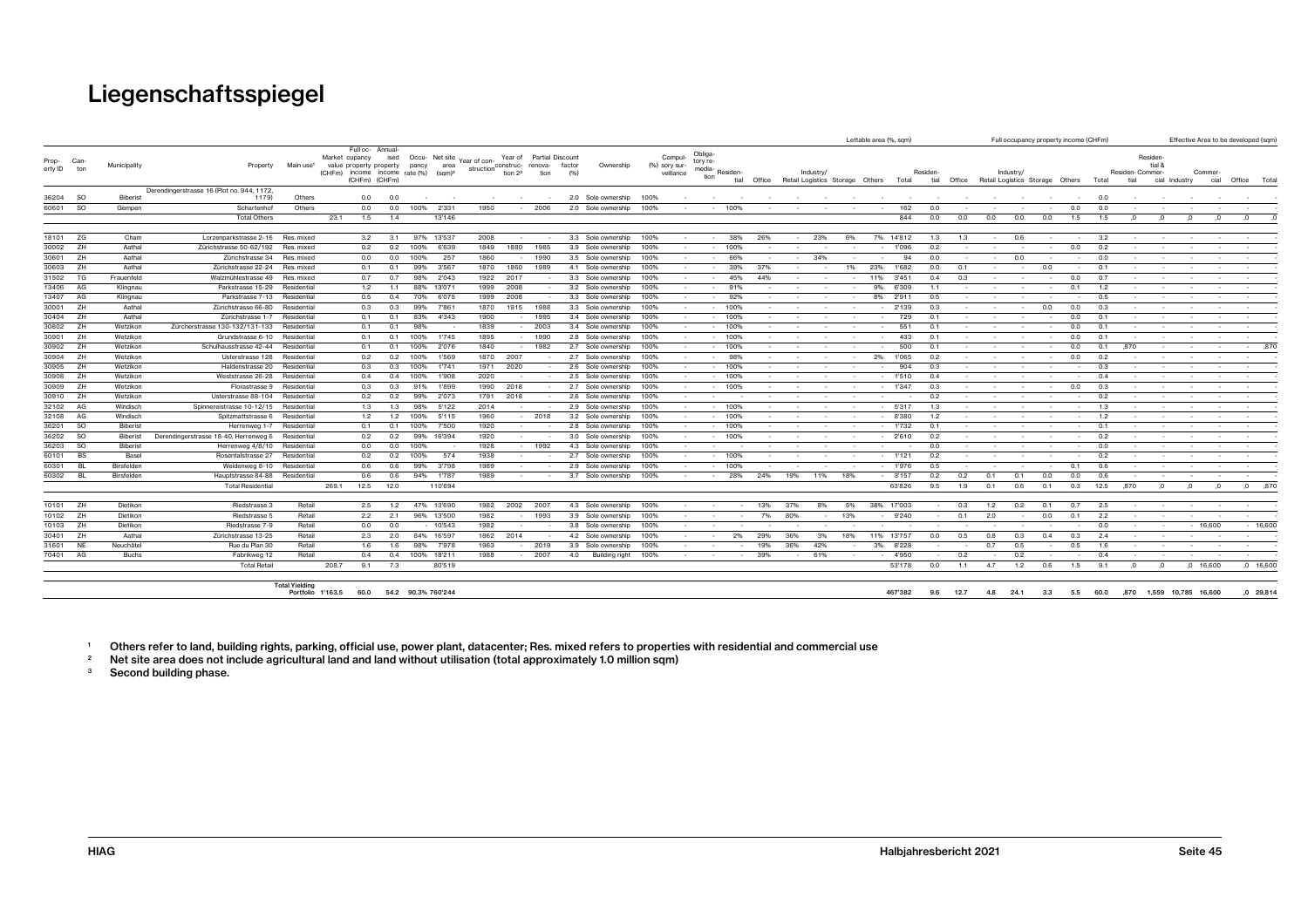| Full oc- Annual-<br>Obliga-<br>Occu- Net site Year of con-<br>Year of Partial Discount<br>Residen-<br>Market cupancy<br>Compul-<br>ised<br>Prop- Can-<br>tory re-<br>Main use <sup>1</sup><br>tial &<br>Municipality<br>Property<br>factor<br>value property property pancy<br>area<br>struction construc- renova-<br>Ownership<br>(%) sory sur-<br>erty ID ton<br>media-<br>(CHFm) income income rate (%)<br>$(sqm)^2$<br>tion 2 <sup>3</sup><br>tion<br>(96)<br>veillance<br>Residen-Commer-<br>Industry/<br>Residen-<br>Industry/<br>Residen<br>Commer-<br>tion<br>(CHFm) (CHFm)<br>tial<br>tial<br>Office<br>Retail Logistics Storage Others Total<br>Office<br>Retail Logistics Storage Others Total<br>tial<br>cial Industry<br>cial<br>Derendingerstrasse 16 (Plot no. 944, 1172,<br>36204 SO<br>Biberist<br>1179)<br>Others<br>0.0<br>0.0<br>2.0 Sole ownership<br>100%<br>0.0<br>$\sim$<br>60601<br><b>SO</b><br>Schartenhof<br>Others<br>0.0<br>0.0<br>2'331<br>1950<br>2006<br>2.0 Sole ownership<br>0.0<br>0.0<br>Gempen<br>100%<br>100%<br>100%<br>162<br>0.0<br>$\sim$<br>844<br><b>Total Others</b><br>23.1<br>1.5<br>1.4<br>13'146<br>0.0<br>0.0<br>0.0<br>0.0<br>0.0<br>1.5<br>1.5<br>$\Omega$<br>$\Omega$<br>18101 ZG<br>13'537<br>2008<br>3.3 Sole ownership<br>Cham<br>Lorzenparkstrasse 2-16<br>Res. mixed<br>3.2<br>3.1<br>97%<br>100%<br>38%<br>26%<br>23%<br>14'812<br>1.3<br>3.2<br>6%<br>7%<br>1.3<br>0.6<br>$\sim$<br>$\sim$<br>$\sim$<br>$\sim$<br>30002 ZH<br>Aathal<br>0.2<br>0.2<br>6'639<br>1849<br>1880<br>1985<br>3.9 Sole ownership<br>0.2<br>0.0<br>0.2<br>Zürichstrasse 50-62/192<br>Res. mixed<br>100%<br>100%<br>100%<br>1'096<br>$\sim$<br>$\sim$<br>30601<br>1860<br>ZH<br>Aathal<br>Zürichstrasse 34<br>Res. mixed<br>0.0<br>100%<br>257<br>3.5 Sole ownership<br>66%<br>34%<br>0.0<br>0.0<br>0.0<br>1990<br>100%<br>94<br>0.0<br>$\sim$<br>30603<br><b>ZH</b><br>Aathal<br>3'567<br>Zürichstrasse 22-24<br>99%<br>1870<br>1860<br>1989<br>4.1 Sole ownership<br>39%<br>23%<br>0.0<br>Res. mixed<br>0.1<br>0.1<br>100%<br>37%<br>1%<br>1'682<br>0.1<br>0.0<br>0.1<br>31502 TG<br>Frauenfeld<br>0.7<br>98%<br>2'043<br>1922 2017<br>3.3 Sole ownership<br>45%<br>3'451<br>0.4<br>0.0<br>0.7<br>Walzmühlestrasse 49<br>Res. mixed<br>0.7<br>100%<br>44%<br>0.3<br>11%<br>13406<br>1999<br>AG<br>Klingnau<br>Parkstrasse 15-29<br>Residential<br>1.1<br>88% 13'071<br>2008<br>3.2 Sole ownership<br>91%<br>9%<br>6'309<br>0.1<br>1.2<br>1.2<br>100%<br>1.1<br>$\sim$<br>13407<br>6'075<br>1999<br>2008<br>2'911<br>0.5<br>AG<br>Klingnau<br>Residential<br>0.5<br>0.4<br>70%<br>3.3 Sole ownership<br>100%<br>92%<br>0.5<br>Parkstrasse 7-13<br>8%<br>$\sim$<br>30001<br>0.0<br>ZH<br>Aathal<br>Zürichstrasse 66-80<br>0.3<br>99%<br>7'861<br>1870<br>1915<br>1988<br>3.3 Sole ownership<br>$-100%$<br>2'139<br>0.3<br>0.0<br>0.3<br>Residential<br>0.3<br>100%<br>$\sim$<br>30404 ZH<br>Aathal<br>1900<br>1995<br>Zürichstrasse 1-7<br>0.1<br>83%<br>4'343<br>3.4 Sole ownership<br>100%<br>$-100%$<br>729<br>0.1<br>0.0<br>0.1<br>Residential<br>0.1<br>$\sim$<br>30802<br>Wetzikon<br>Zürcherstrasse 130-132/131-133<br>1839<br>2003<br>100%<br>551<br>0.0<br>ZH<br>Residentia<br>0.1<br>0.1<br>98%<br>3.4 Sole ownership<br>100%<br>0.1<br>$^{\circ}$<br>30901<br>ZH<br>1895<br>Wetzikon<br>100%<br>1990<br>433<br>0.0<br>Grundstrasse 6-10<br>Residential<br>0.1<br>0.1<br>1'745<br>2.8 Sole ownership<br>100%<br>$-100%$<br>0.1<br>0.1<br>1840<br>30902 ZH<br>Wetzikon<br>2'076<br>1982<br>500<br>Schulhausstrasse 42-44<br>Residential<br>0.1<br>0.1<br>100%<br>2.7 Sole ownership<br>100%<br>$-100%$<br>0.1<br>0.0<br>0.1<br>.870<br>$\sim$<br>$\sim$<br>30904 ZH<br>1870<br>0.0<br>Wetzikon<br>Usterstrasse 128<br>0.2<br>100%<br>1'569<br>2007<br>2.7 Sole ownership<br>98%<br>1'065<br>0.2<br>0.2<br>Residential<br>0.2<br>100%<br>2%<br>$\sim$<br>30905 ZH<br>1971<br>Wetzikon<br>0.3<br>100%<br>1'741<br>2020<br>2.6 Sole ownership<br>904<br>0.3<br>0.3<br>Haldenstrasse 20<br>Residential<br>0.3<br>100%<br>100%<br>30908<br>ZH<br>2020<br>1'510<br>0.4<br>Wetzikon<br>Weststrasse 26-28<br>Residential<br>0.4<br>0.4<br>100%<br>1'908<br>2.5 Sole ownership<br>100%<br>$-100%$<br>0.4<br>30909<br>ZH<br>1990<br>1'347<br>0.0<br>Wetzikon<br>Florastrasse 9<br>0.3<br>0.3<br>91%<br>1'899<br>2018<br>2.7 Sole ownership<br>100%<br>100%<br>0.3<br>0.3<br>Residentia<br>30910 ZH<br>Wetzikon<br>2'073<br>2018<br>0.2<br>Usterstrasse 88-104<br>Residential<br>0.2<br>0.2<br>99%<br>1791<br>2.6 Sole ownership<br>0.2<br>100%<br>$\overline{\phantom{a}}$<br>$\sim$<br>32102 AG<br>Windisch<br>98%<br>5'122<br>2014<br>$-5317$<br>Spinnereistrasse 10-12/15<br>Residential<br>1.3<br>1.3<br>2.9 Sole ownership<br>100%<br>$-100%$<br>1.3<br>1.3<br>$\sim$<br>$\sim$<br>$\sim$<br>$\sim$<br>$\sim$<br>$\sim$<br>$\sim$<br>$\sim$<br>32108 AG<br>5'115<br>Windisch<br>1.2<br>1.2<br>100%<br>1960<br>2018<br>3.2 Sole ownership<br>$-100%$<br>8'380<br>1.2<br>1.2<br>Spitzmattstrasse 6<br>Residential<br>100%<br>36201<br>so<br>1920<br>Biberist<br>7'500<br>Herrenweg 1-7<br>Residential<br>0.1<br>0.1<br>100%<br>2.8 Sole ownership<br>100%<br>$- 100%$<br>1'732<br>0.1<br>0.1<br>36202 SO<br>Derendingerstrasse 18-40, Herrenweg 6<br>0.2<br>99%<br>16'394<br>1920<br>100%<br>2'610<br>0.2<br>0.2<br>Biberist<br>Residential<br>0.2<br>3.0 Sole ownership<br>100%<br>36203 SO<br><b>Biberist</b><br>1928<br>1992<br>0.0<br>0.0<br>0.0<br>0.0<br>100%<br>4.3 Sole ownership<br>Herrenweg 4/8/10<br>Residential<br>100%<br>$\sim$<br>$\sim$<br>60101<br>BS<br>Basel<br>0.2<br>100%<br>574<br>1938<br>$-1121$<br>0.2<br>0.2<br>Rosentalstrasse 27<br>Residential<br>0.2<br>2.7 Sole ownership<br>100%<br>- 100%<br>$\sim$<br>$\sim$<br>$\sim$<br>$\sim$<br>$\sim$<br>$\sim$<br>$\sim$<br>Birsfelden<br>99%<br>3'798<br>1989<br>2.9 Sole ownership<br>1'976<br>0.1<br>60301<br>0.6<br>0.6<br>100%<br>$- 100%$<br>0.5<br>0.6<br>BL.<br>Weidenweg 8-10<br>Residential<br>94%<br>1'787<br>1989<br>60302<br>Birsfelden<br>Hauptstrasse 84-88<br>Residential<br>0.6<br>0.6<br>3.7 Sole ownership<br>100%<br>28%<br>24%<br>19%<br>11%<br>18%<br>$-3'157$<br>0.2<br>0.2<br>0.1<br>0.1<br>0.0<br>0.0<br>0.6<br>Bl<br><b>1979</b><br>$\sim$<br><b>Total Residentia</b><br>269.1<br>12.5<br>12.0<br>110'694<br>63'826<br>9.5<br>1.9<br>0.6<br>0.1<br>0.3<br>12.5<br>,870<br>0.1<br>$\Omega$<br>$\Omega$<br>$\Omega$<br>10101 ZH<br>Retail<br>Dietikon<br>Riedstrasse 3<br>2.5<br>1.2<br>47% 13'690<br>1982<br>2002 2007<br>4.3 Sole ownership<br>100%<br>8%<br>5%<br>38% 17'003<br>0.3<br>1.2<br>0.2<br>0.1<br>0.7<br>2.5<br>13%<br>37%<br>$\sim$<br>$\sim$<br>$\sim$<br>$\sim$<br>10102 ZH<br>Retail<br>2.1<br>9'240<br>0.0<br>0.1<br>2.2<br>Dietikon<br>Riedstrasse 5<br>2.2<br>96% 13'500<br>1982<br>1993<br>3.9 Sole ownership<br>13%<br>0.1<br>2.0<br>100%<br>7%<br>80%<br>10103<br><b>ZH</b><br>Dietikon<br>Retail<br>1982<br>Riedstrasse 7-9<br>0.0<br>0.0<br>$-10'543$<br>3.8 Sole ownership<br>0.0<br>$-16,600$<br>100%<br>30401 ZH<br>Aathal<br>Retail<br>2.3<br>2.0<br>84% 16'597<br>1862<br>2014<br>29%<br>36%<br>18%<br>13'757<br>0.0<br>0.5<br>0.3<br>0.4<br>0.3<br>2.4<br>Zürichstrasse 13-25<br>4.2 Sole ownership<br>100%<br>2%<br>3%<br>11%<br>0.8<br>Retail<br>1963<br>31601 NE<br>Neuchâtel<br>7'978<br>2019<br>3.9 Sole ownership<br>36%<br>42%<br>8'228<br>0.5<br>Rue du Plan 30<br>1.6<br>1.6<br>98%<br>100%<br>19%<br>3%<br>0.7<br>0.5<br>1.6<br>$\sim$<br>$\overline{\phantom{a}}$<br>70401 AG<br>Retail<br>Buchs<br>Fabrikweg 12<br>0.4<br>0.4<br>100% 18'211<br>1988<br>$-2007$<br>4.0<br>39%<br>61%<br>$-4'950$<br>0.2<br>0.2<br>Building right<br>100%<br>0.4<br>$\sim$<br>$\sim$<br>$\sim$ 100 $\mu$<br>$\sim$<br>$\sim$<br>$\sim$<br>$\sim$<br>$\sim$<br>$\sim$<br>$\sim$<br><b>Total Retail</b><br>208.7<br>9.1<br>7.3<br>80'519<br>53'178<br>0.0<br>1.1<br>4.7<br>1.2<br>0.6<br>1.5<br>9.1<br>$,0$ 16,600<br>$\Omega$<br><b>Total Yielding</b><br>Portfolio 1'163.5<br>60.0 54.2 90.3% 760'244<br>467'382<br>9.6 12.7<br>4.8 24.1<br>3.3<br>5.5 60.0<br>,870 1,559 10,785 16,600 |  |  |  |  |  |  |  |  |  |  | Lettable area (%, sqm) |  |  | Full occupancy property income (CHFm) |  |  |  | Effective Area to be developed (sqm) |
|----------------------------------------------------------------------------------------------------------------------------------------------------------------------------------------------------------------------------------------------------------------------------------------------------------------------------------------------------------------------------------------------------------------------------------------------------------------------------------------------------------------------------------------------------------------------------------------------------------------------------------------------------------------------------------------------------------------------------------------------------------------------------------------------------------------------------------------------------------------------------------------------------------------------------------------------------------------------------------------------------------------------------------------------------------------------------------------------------------------------------------------------------------------------------------------------------------------------------------------------------------------------------------------------------------------------------------------------------------------------------------------------------------------------------------------------------------------------------------------------------------------------------------------------------------------------------------------------------------------------------------------------------------------------------------------------------------------------------------------------------------------------------------------------------------------------------------------------------------------------------------------------------------------------------------------------------------------------------------------------------------------------------------------------------------------------------------------------------------------------------------------------------------------------------------------------------------------------------------------------------------------------------------------------------------------------------------------------------------------------------------------------------------------------------------------------------------------------------------------------------------------------------------------------------------------------------------------------------------------------------------------------------------------------------------------------------------------------------------------------------------------------------------------------------------------------------------------------------------------------------------------------------------------------------------------------------------------------------------------------------------------------------------------------------------------------------------------------------------------------------------------------------------------------------------------------------------------------------------------------------------------------------------------------------------------------------------------------------------------------------------------------------------------------------------------------------------------------------------------------------------------------------------------------------------------------------------------------------------------------------------------------------------------------------------------------------------------------------------------------------------------------------------------------------------------------------------------------------------------------------------------------------------------------------------------------------------------------------------------------------------------------------------------------------------------------------------------------------------------------------------------------------------------------------------------------------------------------------------------------------------------------------------------------------------------------------------------------------------------------------------------------------------------------------------------------------------------------------------------------------------------------------------------------------------------------------------------------------------------------------------------------------------------------------------------------------------------------------------------------------------------------------------------------------------------------------------------------------------------------------------------------------------------------------------------------------------------------------------------------------------------------------------------------------------------------------------------------------------------------------------------------------------------------------------------------------------------------------------------------------------------------------------------------------------------------------------------------------------------------------------------------------------------------------------------------------------------------------------------------------------------------------------------------------------------------------------------------------------------------------------------------------------------------------------------------------------------------------------------------------------------------------------------------------------------------------------------------------------------------------------------------------------------------------------------------------------------------------------------------------------------------------------------------------------------------------------------------------------------------------------------------------------------------------------------------------------------------------------------------------------------------------------------------------------------------------------------------------------------------------------------------------------------------------------------------------------------------------------------------------------------------------------------------------------------------------------------------------------------------------------------------------------------------------------------------------------------------------------------------------------------------------------------------------------------------------------------------------------------------------------------------------------------------------------------------------------------------------------------------------------------------------------------------------------------------------------------------------------------------------------------------------------------------------------------------------------------------------------------------------------------------------------------------------------------------------------------------------------------------------------------------------------------------------------------------------------------------------------------------------------------------------------------------------------------------------------------------------------------------------------------------------------------------------------------------------------------------------------------------------------------------------------------------------------------------------------------------------------------------------------------------------------------------------------------------------------------------------------------------------------------------------------------------------------------------------------------------------------------------------------------------------------|--|--|--|--|--|--|--|--|--|--|------------------------|--|--|---------------------------------------|--|--|--|--------------------------------------|
|                                                                                                                                                                                                                                                                                                                                                                                                                                                                                                                                                                                                                                                                                                                                                                                                                                                                                                                                                                                                                                                                                                                                                                                                                                                                                                                                                                                                                                                                                                                                                                                                                                                                                                                                                                                                                                                                                                                                                                                                                                                                                                                                                                                                                                                                                                                                                                                                                                                                                                                                                                                                                                                                                                                                                                                                                                                                                                                                                                                                                                                                                                                                                                                                                                                                                                                                                                                                                                                                                                                                                                                                                                                                                                                                                                                                                                                                                                                                                                                                                                                                                                                                                                                                                                                                                                                                                                                                                                                                                                                                                                                                                                                                                                                                                                                                                                                                                                                                                                                                                                                                                                                                                                                                                                                                                                                                                                                                                                                                                                                                                                                                                                                                                                                                                                                                                                                                                                                                                                                                                                                                                                                                                                                                                                                                                                                                                                                                                                                                                                                                                                                                                                                                                                                                                                                                                                                                                                                                                                                                                                                                                                                                                                                                                                                                                                                                                                                                                                                                                                                                                                                                                                                                                                                                                                                                                                                                                                                                                                                                                                                                                                                                                          |  |  |  |  |  |  |  |  |  |  |                        |  |  |                                       |  |  |  | Office Total                         |
|                                                                                                                                                                                                                                                                                                                                                                                                                                                                                                                                                                                                                                                                                                                                                                                                                                                                                                                                                                                                                                                                                                                                                                                                                                                                                                                                                                                                                                                                                                                                                                                                                                                                                                                                                                                                                                                                                                                                                                                                                                                                                                                                                                                                                                                                                                                                                                                                                                                                                                                                                                                                                                                                                                                                                                                                                                                                                                                                                                                                                                                                                                                                                                                                                                                                                                                                                                                                                                                                                                                                                                                                                                                                                                                                                                                                                                                                                                                                                                                                                                                                                                                                                                                                                                                                                                                                                                                                                                                                                                                                                                                                                                                                                                                                                                                                                                                                                                                                                                                                                                                                                                                                                                                                                                                                                                                                                                                                                                                                                                                                                                                                                                                                                                                                                                                                                                                                                                                                                                                                                                                                                                                                                                                                                                                                                                                                                                                                                                                                                                                                                                                                                                                                                                                                                                                                                                                                                                                                                                                                                                                                                                                                                                                                                                                                                                                                                                                                                                                                                                                                                                                                                                                                                                                                                                                                                                                                                                                                                                                                                                                                                                                                                          |  |  |  |  |  |  |  |  |  |  |                        |  |  |                                       |  |  |  |                                      |
|                                                                                                                                                                                                                                                                                                                                                                                                                                                                                                                                                                                                                                                                                                                                                                                                                                                                                                                                                                                                                                                                                                                                                                                                                                                                                                                                                                                                                                                                                                                                                                                                                                                                                                                                                                                                                                                                                                                                                                                                                                                                                                                                                                                                                                                                                                                                                                                                                                                                                                                                                                                                                                                                                                                                                                                                                                                                                                                                                                                                                                                                                                                                                                                                                                                                                                                                                                                                                                                                                                                                                                                                                                                                                                                                                                                                                                                                                                                                                                                                                                                                                                                                                                                                                                                                                                                                                                                                                                                                                                                                                                                                                                                                                                                                                                                                                                                                                                                                                                                                                                                                                                                                                                                                                                                                                                                                                                                                                                                                                                                                                                                                                                                                                                                                                                                                                                                                                                                                                                                                                                                                                                                                                                                                                                                                                                                                                                                                                                                                                                                                                                                                                                                                                                                                                                                                                                                                                                                                                                                                                                                                                                                                                                                                                                                                                                                                                                                                                                                                                                                                                                                                                                                                                                                                                                                                                                                                                                                                                                                                                                                                                                                                                          |  |  |  |  |  |  |  |  |  |  |                        |  |  |                                       |  |  |  |                                      |
|                                                                                                                                                                                                                                                                                                                                                                                                                                                                                                                                                                                                                                                                                                                                                                                                                                                                                                                                                                                                                                                                                                                                                                                                                                                                                                                                                                                                                                                                                                                                                                                                                                                                                                                                                                                                                                                                                                                                                                                                                                                                                                                                                                                                                                                                                                                                                                                                                                                                                                                                                                                                                                                                                                                                                                                                                                                                                                                                                                                                                                                                                                                                                                                                                                                                                                                                                                                                                                                                                                                                                                                                                                                                                                                                                                                                                                                                                                                                                                                                                                                                                                                                                                                                                                                                                                                                                                                                                                                                                                                                                                                                                                                                                                                                                                                                                                                                                                                                                                                                                                                                                                                                                                                                                                                                                                                                                                                                                                                                                                                                                                                                                                                                                                                                                                                                                                                                                                                                                                                                                                                                                                                                                                                                                                                                                                                                                                                                                                                                                                                                                                                                                                                                                                                                                                                                                                                                                                                                                                                                                                                                                                                                                                                                                                                                                                                                                                                                                                                                                                                                                                                                                                                                                                                                                                                                                                                                                                                                                                                                                                                                                                                                                          |  |  |  |  |  |  |  |  |  |  |                        |  |  |                                       |  |  |  |                                      |
|                                                                                                                                                                                                                                                                                                                                                                                                                                                                                                                                                                                                                                                                                                                                                                                                                                                                                                                                                                                                                                                                                                                                                                                                                                                                                                                                                                                                                                                                                                                                                                                                                                                                                                                                                                                                                                                                                                                                                                                                                                                                                                                                                                                                                                                                                                                                                                                                                                                                                                                                                                                                                                                                                                                                                                                                                                                                                                                                                                                                                                                                                                                                                                                                                                                                                                                                                                                                                                                                                                                                                                                                                                                                                                                                                                                                                                                                                                                                                                                                                                                                                                                                                                                                                                                                                                                                                                                                                                                                                                                                                                                                                                                                                                                                                                                                                                                                                                                                                                                                                                                                                                                                                                                                                                                                                                                                                                                                                                                                                                                                                                                                                                                                                                                                                                                                                                                                                                                                                                                                                                                                                                                                                                                                                                                                                                                                                                                                                                                                                                                                                                                                                                                                                                                                                                                                                                                                                                                                                                                                                                                                                                                                                                                                                                                                                                                                                                                                                                                                                                                                                                                                                                                                                                                                                                                                                                                                                                                                                                                                                                                                                                                                                          |  |  |  |  |  |  |  |  |  |  |                        |  |  |                                       |  |  |  |                                      |
|                                                                                                                                                                                                                                                                                                                                                                                                                                                                                                                                                                                                                                                                                                                                                                                                                                                                                                                                                                                                                                                                                                                                                                                                                                                                                                                                                                                                                                                                                                                                                                                                                                                                                                                                                                                                                                                                                                                                                                                                                                                                                                                                                                                                                                                                                                                                                                                                                                                                                                                                                                                                                                                                                                                                                                                                                                                                                                                                                                                                                                                                                                                                                                                                                                                                                                                                                                                                                                                                                                                                                                                                                                                                                                                                                                                                                                                                                                                                                                                                                                                                                                                                                                                                                                                                                                                                                                                                                                                                                                                                                                                                                                                                                                                                                                                                                                                                                                                                                                                                                                                                                                                                                                                                                                                                                                                                                                                                                                                                                                                                                                                                                                                                                                                                                                                                                                                                                                                                                                                                                                                                                                                                                                                                                                                                                                                                                                                                                                                                                                                                                                                                                                                                                                                                                                                                                                                                                                                                                                                                                                                                                                                                                                                                                                                                                                                                                                                                                                                                                                                                                                                                                                                                                                                                                                                                                                                                                                                                                                                                                                                                                                                                                          |  |  |  |  |  |  |  |  |  |  |                        |  |  |                                       |  |  |  |                                      |
|                                                                                                                                                                                                                                                                                                                                                                                                                                                                                                                                                                                                                                                                                                                                                                                                                                                                                                                                                                                                                                                                                                                                                                                                                                                                                                                                                                                                                                                                                                                                                                                                                                                                                                                                                                                                                                                                                                                                                                                                                                                                                                                                                                                                                                                                                                                                                                                                                                                                                                                                                                                                                                                                                                                                                                                                                                                                                                                                                                                                                                                                                                                                                                                                                                                                                                                                                                                                                                                                                                                                                                                                                                                                                                                                                                                                                                                                                                                                                                                                                                                                                                                                                                                                                                                                                                                                                                                                                                                                                                                                                                                                                                                                                                                                                                                                                                                                                                                                                                                                                                                                                                                                                                                                                                                                                                                                                                                                                                                                                                                                                                                                                                                                                                                                                                                                                                                                                                                                                                                                                                                                                                                                                                                                                                                                                                                                                                                                                                                                                                                                                                                                                                                                                                                                                                                                                                                                                                                                                                                                                                                                                                                                                                                                                                                                                                                                                                                                                                                                                                                                                                                                                                                                                                                                                                                                                                                                                                                                                                                                                                                                                                                                                          |  |  |  |  |  |  |  |  |  |  |                        |  |  |                                       |  |  |  |                                      |
|                                                                                                                                                                                                                                                                                                                                                                                                                                                                                                                                                                                                                                                                                                                                                                                                                                                                                                                                                                                                                                                                                                                                                                                                                                                                                                                                                                                                                                                                                                                                                                                                                                                                                                                                                                                                                                                                                                                                                                                                                                                                                                                                                                                                                                                                                                                                                                                                                                                                                                                                                                                                                                                                                                                                                                                                                                                                                                                                                                                                                                                                                                                                                                                                                                                                                                                                                                                                                                                                                                                                                                                                                                                                                                                                                                                                                                                                                                                                                                                                                                                                                                                                                                                                                                                                                                                                                                                                                                                                                                                                                                                                                                                                                                                                                                                                                                                                                                                                                                                                                                                                                                                                                                                                                                                                                                                                                                                                                                                                                                                                                                                                                                                                                                                                                                                                                                                                                                                                                                                                                                                                                                                                                                                                                                                                                                                                                                                                                                                                                                                                                                                                                                                                                                                                                                                                                                                                                                                                                                                                                                                                                                                                                                                                                                                                                                                                                                                                                                                                                                                                                                                                                                                                                                                                                                                                                                                                                                                                                                                                                                                                                                                                                          |  |  |  |  |  |  |  |  |  |  |                        |  |  |                                       |  |  |  |                                      |
|                                                                                                                                                                                                                                                                                                                                                                                                                                                                                                                                                                                                                                                                                                                                                                                                                                                                                                                                                                                                                                                                                                                                                                                                                                                                                                                                                                                                                                                                                                                                                                                                                                                                                                                                                                                                                                                                                                                                                                                                                                                                                                                                                                                                                                                                                                                                                                                                                                                                                                                                                                                                                                                                                                                                                                                                                                                                                                                                                                                                                                                                                                                                                                                                                                                                                                                                                                                                                                                                                                                                                                                                                                                                                                                                                                                                                                                                                                                                                                                                                                                                                                                                                                                                                                                                                                                                                                                                                                                                                                                                                                                                                                                                                                                                                                                                                                                                                                                                                                                                                                                                                                                                                                                                                                                                                                                                                                                                                                                                                                                                                                                                                                                                                                                                                                                                                                                                                                                                                                                                                                                                                                                                                                                                                                                                                                                                                                                                                                                                                                                                                                                                                                                                                                                                                                                                                                                                                                                                                                                                                                                                                                                                                                                                                                                                                                                                                                                                                                                                                                                                                                                                                                                                                                                                                                                                                                                                                                                                                                                                                                                                                                                                                          |  |  |  |  |  |  |  |  |  |  |                        |  |  |                                       |  |  |  |                                      |
|                                                                                                                                                                                                                                                                                                                                                                                                                                                                                                                                                                                                                                                                                                                                                                                                                                                                                                                                                                                                                                                                                                                                                                                                                                                                                                                                                                                                                                                                                                                                                                                                                                                                                                                                                                                                                                                                                                                                                                                                                                                                                                                                                                                                                                                                                                                                                                                                                                                                                                                                                                                                                                                                                                                                                                                                                                                                                                                                                                                                                                                                                                                                                                                                                                                                                                                                                                                                                                                                                                                                                                                                                                                                                                                                                                                                                                                                                                                                                                                                                                                                                                                                                                                                                                                                                                                                                                                                                                                                                                                                                                                                                                                                                                                                                                                                                                                                                                                                                                                                                                                                                                                                                                                                                                                                                                                                                                                                                                                                                                                                                                                                                                                                                                                                                                                                                                                                                                                                                                                                                                                                                                                                                                                                                                                                                                                                                                                                                                                                                                                                                                                                                                                                                                                                                                                                                                                                                                                                                                                                                                                                                                                                                                                                                                                                                                                                                                                                                                                                                                                                                                                                                                                                                                                                                                                                                                                                                                                                                                                                                                                                                                                                                          |  |  |  |  |  |  |  |  |  |  |                        |  |  |                                       |  |  |  |                                      |
|                                                                                                                                                                                                                                                                                                                                                                                                                                                                                                                                                                                                                                                                                                                                                                                                                                                                                                                                                                                                                                                                                                                                                                                                                                                                                                                                                                                                                                                                                                                                                                                                                                                                                                                                                                                                                                                                                                                                                                                                                                                                                                                                                                                                                                                                                                                                                                                                                                                                                                                                                                                                                                                                                                                                                                                                                                                                                                                                                                                                                                                                                                                                                                                                                                                                                                                                                                                                                                                                                                                                                                                                                                                                                                                                                                                                                                                                                                                                                                                                                                                                                                                                                                                                                                                                                                                                                                                                                                                                                                                                                                                                                                                                                                                                                                                                                                                                                                                                                                                                                                                                                                                                                                                                                                                                                                                                                                                                                                                                                                                                                                                                                                                                                                                                                                                                                                                                                                                                                                                                                                                                                                                                                                                                                                                                                                                                                                                                                                                                                                                                                                                                                                                                                                                                                                                                                                                                                                                                                                                                                                                                                                                                                                                                                                                                                                                                                                                                                                                                                                                                                                                                                                                                                                                                                                                                                                                                                                                                                                                                                                                                                                                                                          |  |  |  |  |  |  |  |  |  |  |                        |  |  |                                       |  |  |  |                                      |
|                                                                                                                                                                                                                                                                                                                                                                                                                                                                                                                                                                                                                                                                                                                                                                                                                                                                                                                                                                                                                                                                                                                                                                                                                                                                                                                                                                                                                                                                                                                                                                                                                                                                                                                                                                                                                                                                                                                                                                                                                                                                                                                                                                                                                                                                                                                                                                                                                                                                                                                                                                                                                                                                                                                                                                                                                                                                                                                                                                                                                                                                                                                                                                                                                                                                                                                                                                                                                                                                                                                                                                                                                                                                                                                                                                                                                                                                                                                                                                                                                                                                                                                                                                                                                                                                                                                                                                                                                                                                                                                                                                                                                                                                                                                                                                                                                                                                                                                                                                                                                                                                                                                                                                                                                                                                                                                                                                                                                                                                                                                                                                                                                                                                                                                                                                                                                                                                                                                                                                                                                                                                                                                                                                                                                                                                                                                                                                                                                                                                                                                                                                                                                                                                                                                                                                                                                                                                                                                                                                                                                                                                                                                                                                                                                                                                                                                                                                                                                                                                                                                                                                                                                                                                                                                                                                                                                                                                                                                                                                                                                                                                                                                                                          |  |  |  |  |  |  |  |  |  |  |                        |  |  |                                       |  |  |  |                                      |
|                                                                                                                                                                                                                                                                                                                                                                                                                                                                                                                                                                                                                                                                                                                                                                                                                                                                                                                                                                                                                                                                                                                                                                                                                                                                                                                                                                                                                                                                                                                                                                                                                                                                                                                                                                                                                                                                                                                                                                                                                                                                                                                                                                                                                                                                                                                                                                                                                                                                                                                                                                                                                                                                                                                                                                                                                                                                                                                                                                                                                                                                                                                                                                                                                                                                                                                                                                                                                                                                                                                                                                                                                                                                                                                                                                                                                                                                                                                                                                                                                                                                                                                                                                                                                                                                                                                                                                                                                                                                                                                                                                                                                                                                                                                                                                                                                                                                                                                                                                                                                                                                                                                                                                                                                                                                                                                                                                                                                                                                                                                                                                                                                                                                                                                                                                                                                                                                                                                                                                                                                                                                                                                                                                                                                                                                                                                                                                                                                                                                                                                                                                                                                                                                                                                                                                                                                                                                                                                                                                                                                                                                                                                                                                                                                                                                                                                                                                                                                                                                                                                                                                                                                                                                                                                                                                                                                                                                                                                                                                                                                                                                                                                                                          |  |  |  |  |  |  |  |  |  |  |                        |  |  |                                       |  |  |  |                                      |
|                                                                                                                                                                                                                                                                                                                                                                                                                                                                                                                                                                                                                                                                                                                                                                                                                                                                                                                                                                                                                                                                                                                                                                                                                                                                                                                                                                                                                                                                                                                                                                                                                                                                                                                                                                                                                                                                                                                                                                                                                                                                                                                                                                                                                                                                                                                                                                                                                                                                                                                                                                                                                                                                                                                                                                                                                                                                                                                                                                                                                                                                                                                                                                                                                                                                                                                                                                                                                                                                                                                                                                                                                                                                                                                                                                                                                                                                                                                                                                                                                                                                                                                                                                                                                                                                                                                                                                                                                                                                                                                                                                                                                                                                                                                                                                                                                                                                                                                                                                                                                                                                                                                                                                                                                                                                                                                                                                                                                                                                                                                                                                                                                                                                                                                                                                                                                                                                                                                                                                                                                                                                                                                                                                                                                                                                                                                                                                                                                                                                                                                                                                                                                                                                                                                                                                                                                                                                                                                                                                                                                                                                                                                                                                                                                                                                                                                                                                                                                                                                                                                                                                                                                                                                                                                                                                                                                                                                                                                                                                                                                                                                                                                                                          |  |  |  |  |  |  |  |  |  |  |                        |  |  |                                       |  |  |  |                                      |
|                                                                                                                                                                                                                                                                                                                                                                                                                                                                                                                                                                                                                                                                                                                                                                                                                                                                                                                                                                                                                                                                                                                                                                                                                                                                                                                                                                                                                                                                                                                                                                                                                                                                                                                                                                                                                                                                                                                                                                                                                                                                                                                                                                                                                                                                                                                                                                                                                                                                                                                                                                                                                                                                                                                                                                                                                                                                                                                                                                                                                                                                                                                                                                                                                                                                                                                                                                                                                                                                                                                                                                                                                                                                                                                                                                                                                                                                                                                                                                                                                                                                                                                                                                                                                                                                                                                                                                                                                                                                                                                                                                                                                                                                                                                                                                                                                                                                                                                                                                                                                                                                                                                                                                                                                                                                                                                                                                                                                                                                                                                                                                                                                                                                                                                                                                                                                                                                                                                                                                                                                                                                                                                                                                                                                                                                                                                                                                                                                                                                                                                                                                                                                                                                                                                                                                                                                                                                                                                                                                                                                                                                                                                                                                                                                                                                                                                                                                                                                                                                                                                                                                                                                                                                                                                                                                                                                                                                                                                                                                                                                                                                                                                                                          |  |  |  |  |  |  |  |  |  |  |                        |  |  |                                       |  |  |  |                                      |
|                                                                                                                                                                                                                                                                                                                                                                                                                                                                                                                                                                                                                                                                                                                                                                                                                                                                                                                                                                                                                                                                                                                                                                                                                                                                                                                                                                                                                                                                                                                                                                                                                                                                                                                                                                                                                                                                                                                                                                                                                                                                                                                                                                                                                                                                                                                                                                                                                                                                                                                                                                                                                                                                                                                                                                                                                                                                                                                                                                                                                                                                                                                                                                                                                                                                                                                                                                                                                                                                                                                                                                                                                                                                                                                                                                                                                                                                                                                                                                                                                                                                                                                                                                                                                                                                                                                                                                                                                                                                                                                                                                                                                                                                                                                                                                                                                                                                                                                                                                                                                                                                                                                                                                                                                                                                                                                                                                                                                                                                                                                                                                                                                                                                                                                                                                                                                                                                                                                                                                                                                                                                                                                                                                                                                                                                                                                                                                                                                                                                                                                                                                                                                                                                                                                                                                                                                                                                                                                                                                                                                                                                                                                                                                                                                                                                                                                                                                                                                                                                                                                                                                                                                                                                                                                                                                                                                                                                                                                                                                                                                                                                                                                                                          |  |  |  |  |  |  |  |  |  |  |                        |  |  |                                       |  |  |  |                                      |
|                                                                                                                                                                                                                                                                                                                                                                                                                                                                                                                                                                                                                                                                                                                                                                                                                                                                                                                                                                                                                                                                                                                                                                                                                                                                                                                                                                                                                                                                                                                                                                                                                                                                                                                                                                                                                                                                                                                                                                                                                                                                                                                                                                                                                                                                                                                                                                                                                                                                                                                                                                                                                                                                                                                                                                                                                                                                                                                                                                                                                                                                                                                                                                                                                                                                                                                                                                                                                                                                                                                                                                                                                                                                                                                                                                                                                                                                                                                                                                                                                                                                                                                                                                                                                                                                                                                                                                                                                                                                                                                                                                                                                                                                                                                                                                                                                                                                                                                                                                                                                                                                                                                                                                                                                                                                                                                                                                                                                                                                                                                                                                                                                                                                                                                                                                                                                                                                                                                                                                                                                                                                                                                                                                                                                                                                                                                                                                                                                                                                                                                                                                                                                                                                                                                                                                                                                                                                                                                                                                                                                                                                                                                                                                                                                                                                                                                                                                                                                                                                                                                                                                                                                                                                                                                                                                                                                                                                                                                                                                                                                                                                                                                                                          |  |  |  |  |  |  |  |  |  |  |                        |  |  |                                       |  |  |  | ,870                                 |
|                                                                                                                                                                                                                                                                                                                                                                                                                                                                                                                                                                                                                                                                                                                                                                                                                                                                                                                                                                                                                                                                                                                                                                                                                                                                                                                                                                                                                                                                                                                                                                                                                                                                                                                                                                                                                                                                                                                                                                                                                                                                                                                                                                                                                                                                                                                                                                                                                                                                                                                                                                                                                                                                                                                                                                                                                                                                                                                                                                                                                                                                                                                                                                                                                                                                                                                                                                                                                                                                                                                                                                                                                                                                                                                                                                                                                                                                                                                                                                                                                                                                                                                                                                                                                                                                                                                                                                                                                                                                                                                                                                                                                                                                                                                                                                                                                                                                                                                                                                                                                                                                                                                                                                                                                                                                                                                                                                                                                                                                                                                                                                                                                                                                                                                                                                                                                                                                                                                                                                                                                                                                                                                                                                                                                                                                                                                                                                                                                                                                                                                                                                                                                                                                                                                                                                                                                                                                                                                                                                                                                                                                                                                                                                                                                                                                                                                                                                                                                                                                                                                                                                                                                                                                                                                                                                                                                                                                                                                                                                                                                                                                                                                                                          |  |  |  |  |  |  |  |  |  |  |                        |  |  |                                       |  |  |  |                                      |
|                                                                                                                                                                                                                                                                                                                                                                                                                                                                                                                                                                                                                                                                                                                                                                                                                                                                                                                                                                                                                                                                                                                                                                                                                                                                                                                                                                                                                                                                                                                                                                                                                                                                                                                                                                                                                                                                                                                                                                                                                                                                                                                                                                                                                                                                                                                                                                                                                                                                                                                                                                                                                                                                                                                                                                                                                                                                                                                                                                                                                                                                                                                                                                                                                                                                                                                                                                                                                                                                                                                                                                                                                                                                                                                                                                                                                                                                                                                                                                                                                                                                                                                                                                                                                                                                                                                                                                                                                                                                                                                                                                                                                                                                                                                                                                                                                                                                                                                                                                                                                                                                                                                                                                                                                                                                                                                                                                                                                                                                                                                                                                                                                                                                                                                                                                                                                                                                                                                                                                                                                                                                                                                                                                                                                                                                                                                                                                                                                                                                                                                                                                                                                                                                                                                                                                                                                                                                                                                                                                                                                                                                                                                                                                                                                                                                                                                                                                                                                                                                                                                                                                                                                                                                                                                                                                                                                                                                                                                                                                                                                                                                                                                                                          |  |  |  |  |  |  |  |  |  |  |                        |  |  |                                       |  |  |  |                                      |
|                                                                                                                                                                                                                                                                                                                                                                                                                                                                                                                                                                                                                                                                                                                                                                                                                                                                                                                                                                                                                                                                                                                                                                                                                                                                                                                                                                                                                                                                                                                                                                                                                                                                                                                                                                                                                                                                                                                                                                                                                                                                                                                                                                                                                                                                                                                                                                                                                                                                                                                                                                                                                                                                                                                                                                                                                                                                                                                                                                                                                                                                                                                                                                                                                                                                                                                                                                                                                                                                                                                                                                                                                                                                                                                                                                                                                                                                                                                                                                                                                                                                                                                                                                                                                                                                                                                                                                                                                                                                                                                                                                                                                                                                                                                                                                                                                                                                                                                                                                                                                                                                                                                                                                                                                                                                                                                                                                                                                                                                                                                                                                                                                                                                                                                                                                                                                                                                                                                                                                                                                                                                                                                                                                                                                                                                                                                                                                                                                                                                                                                                                                                                                                                                                                                                                                                                                                                                                                                                                                                                                                                                                                                                                                                                                                                                                                                                                                                                                                                                                                                                                                                                                                                                                                                                                                                                                                                                                                                                                                                                                                                                                                                                                          |  |  |  |  |  |  |  |  |  |  |                        |  |  |                                       |  |  |  |                                      |
|                                                                                                                                                                                                                                                                                                                                                                                                                                                                                                                                                                                                                                                                                                                                                                                                                                                                                                                                                                                                                                                                                                                                                                                                                                                                                                                                                                                                                                                                                                                                                                                                                                                                                                                                                                                                                                                                                                                                                                                                                                                                                                                                                                                                                                                                                                                                                                                                                                                                                                                                                                                                                                                                                                                                                                                                                                                                                                                                                                                                                                                                                                                                                                                                                                                                                                                                                                                                                                                                                                                                                                                                                                                                                                                                                                                                                                                                                                                                                                                                                                                                                                                                                                                                                                                                                                                                                                                                                                                                                                                                                                                                                                                                                                                                                                                                                                                                                                                                                                                                                                                                                                                                                                                                                                                                                                                                                                                                                                                                                                                                                                                                                                                                                                                                                                                                                                                                                                                                                                                                                                                                                                                                                                                                                                                                                                                                                                                                                                                                                                                                                                                                                                                                                                                                                                                                                                                                                                                                                                                                                                                                                                                                                                                                                                                                                                                                                                                                                                                                                                                                                                                                                                                                                                                                                                                                                                                                                                                                                                                                                                                                                                                                                          |  |  |  |  |  |  |  |  |  |  |                        |  |  |                                       |  |  |  |                                      |
|                                                                                                                                                                                                                                                                                                                                                                                                                                                                                                                                                                                                                                                                                                                                                                                                                                                                                                                                                                                                                                                                                                                                                                                                                                                                                                                                                                                                                                                                                                                                                                                                                                                                                                                                                                                                                                                                                                                                                                                                                                                                                                                                                                                                                                                                                                                                                                                                                                                                                                                                                                                                                                                                                                                                                                                                                                                                                                                                                                                                                                                                                                                                                                                                                                                                                                                                                                                                                                                                                                                                                                                                                                                                                                                                                                                                                                                                                                                                                                                                                                                                                                                                                                                                                                                                                                                                                                                                                                                                                                                                                                                                                                                                                                                                                                                                                                                                                                                                                                                                                                                                                                                                                                                                                                                                                                                                                                                                                                                                                                                                                                                                                                                                                                                                                                                                                                                                                                                                                                                                                                                                                                                                                                                                                                                                                                                                                                                                                                                                                                                                                                                                                                                                                                                                                                                                                                                                                                                                                                                                                                                                                                                                                                                                                                                                                                                                                                                                                                                                                                                                                                                                                                                                                                                                                                                                                                                                                                                                                                                                                                                                                                                                                          |  |  |  |  |  |  |  |  |  |  |                        |  |  |                                       |  |  |  |                                      |
|                                                                                                                                                                                                                                                                                                                                                                                                                                                                                                                                                                                                                                                                                                                                                                                                                                                                                                                                                                                                                                                                                                                                                                                                                                                                                                                                                                                                                                                                                                                                                                                                                                                                                                                                                                                                                                                                                                                                                                                                                                                                                                                                                                                                                                                                                                                                                                                                                                                                                                                                                                                                                                                                                                                                                                                                                                                                                                                                                                                                                                                                                                                                                                                                                                                                                                                                                                                                                                                                                                                                                                                                                                                                                                                                                                                                                                                                                                                                                                                                                                                                                                                                                                                                                                                                                                                                                                                                                                                                                                                                                                                                                                                                                                                                                                                                                                                                                                                                                                                                                                                                                                                                                                                                                                                                                                                                                                                                                                                                                                                                                                                                                                                                                                                                                                                                                                                                                                                                                                                                                                                                                                                                                                                                                                                                                                                                                                                                                                                                                                                                                                                                                                                                                                                                                                                                                                                                                                                                                                                                                                                                                                                                                                                                                                                                                                                                                                                                                                                                                                                                                                                                                                                                                                                                                                                                                                                                                                                                                                                                                                                                                                                                                          |  |  |  |  |  |  |  |  |  |  |                        |  |  |                                       |  |  |  |                                      |
|                                                                                                                                                                                                                                                                                                                                                                                                                                                                                                                                                                                                                                                                                                                                                                                                                                                                                                                                                                                                                                                                                                                                                                                                                                                                                                                                                                                                                                                                                                                                                                                                                                                                                                                                                                                                                                                                                                                                                                                                                                                                                                                                                                                                                                                                                                                                                                                                                                                                                                                                                                                                                                                                                                                                                                                                                                                                                                                                                                                                                                                                                                                                                                                                                                                                                                                                                                                                                                                                                                                                                                                                                                                                                                                                                                                                                                                                                                                                                                                                                                                                                                                                                                                                                                                                                                                                                                                                                                                                                                                                                                                                                                                                                                                                                                                                                                                                                                                                                                                                                                                                                                                                                                                                                                                                                                                                                                                                                                                                                                                                                                                                                                                                                                                                                                                                                                                                                                                                                                                                                                                                                                                                                                                                                                                                                                                                                                                                                                                                                                                                                                                                                                                                                                                                                                                                                                                                                                                                                                                                                                                                                                                                                                                                                                                                                                                                                                                                                                                                                                                                                                                                                                                                                                                                                                                                                                                                                                                                                                                                                                                                                                                                                          |  |  |  |  |  |  |  |  |  |  |                        |  |  |                                       |  |  |  |                                      |
|                                                                                                                                                                                                                                                                                                                                                                                                                                                                                                                                                                                                                                                                                                                                                                                                                                                                                                                                                                                                                                                                                                                                                                                                                                                                                                                                                                                                                                                                                                                                                                                                                                                                                                                                                                                                                                                                                                                                                                                                                                                                                                                                                                                                                                                                                                                                                                                                                                                                                                                                                                                                                                                                                                                                                                                                                                                                                                                                                                                                                                                                                                                                                                                                                                                                                                                                                                                                                                                                                                                                                                                                                                                                                                                                                                                                                                                                                                                                                                                                                                                                                                                                                                                                                                                                                                                                                                                                                                                                                                                                                                                                                                                                                                                                                                                                                                                                                                                                                                                                                                                                                                                                                                                                                                                                                                                                                                                                                                                                                                                                                                                                                                                                                                                                                                                                                                                                                                                                                                                                                                                                                                                                                                                                                                                                                                                                                                                                                                                                                                                                                                                                                                                                                                                                                                                                                                                                                                                                                                                                                                                                                                                                                                                                                                                                                                                                                                                                                                                                                                                                                                                                                                                                                                                                                                                                                                                                                                                                                                                                                                                                                                                                                          |  |  |  |  |  |  |  |  |  |  |                        |  |  |                                       |  |  |  |                                      |
|                                                                                                                                                                                                                                                                                                                                                                                                                                                                                                                                                                                                                                                                                                                                                                                                                                                                                                                                                                                                                                                                                                                                                                                                                                                                                                                                                                                                                                                                                                                                                                                                                                                                                                                                                                                                                                                                                                                                                                                                                                                                                                                                                                                                                                                                                                                                                                                                                                                                                                                                                                                                                                                                                                                                                                                                                                                                                                                                                                                                                                                                                                                                                                                                                                                                                                                                                                                                                                                                                                                                                                                                                                                                                                                                                                                                                                                                                                                                                                                                                                                                                                                                                                                                                                                                                                                                                                                                                                                                                                                                                                                                                                                                                                                                                                                                                                                                                                                                                                                                                                                                                                                                                                                                                                                                                                                                                                                                                                                                                                                                                                                                                                                                                                                                                                                                                                                                                                                                                                                                                                                                                                                                                                                                                                                                                                                                                                                                                                                                                                                                                                                                                                                                                                                                                                                                                                                                                                                                                                                                                                                                                                                                                                                                                                                                                                                                                                                                                                                                                                                                                                                                                                                                                                                                                                                                                                                                                                                                                                                                                                                                                                                                                          |  |  |  |  |  |  |  |  |  |  |                        |  |  |                                       |  |  |  |                                      |
|                                                                                                                                                                                                                                                                                                                                                                                                                                                                                                                                                                                                                                                                                                                                                                                                                                                                                                                                                                                                                                                                                                                                                                                                                                                                                                                                                                                                                                                                                                                                                                                                                                                                                                                                                                                                                                                                                                                                                                                                                                                                                                                                                                                                                                                                                                                                                                                                                                                                                                                                                                                                                                                                                                                                                                                                                                                                                                                                                                                                                                                                                                                                                                                                                                                                                                                                                                                                                                                                                                                                                                                                                                                                                                                                                                                                                                                                                                                                                                                                                                                                                                                                                                                                                                                                                                                                                                                                                                                                                                                                                                                                                                                                                                                                                                                                                                                                                                                                                                                                                                                                                                                                                                                                                                                                                                                                                                                                                                                                                                                                                                                                                                                                                                                                                                                                                                                                                                                                                                                                                                                                                                                                                                                                                                                                                                                                                                                                                                                                                                                                                                                                                                                                                                                                                                                                                                                                                                                                                                                                                                                                                                                                                                                                                                                                                                                                                                                                                                                                                                                                                                                                                                                                                                                                                                                                                                                                                                                                                                                                                                                                                                                                                          |  |  |  |  |  |  |  |  |  |  |                        |  |  |                                       |  |  |  |                                      |
|                                                                                                                                                                                                                                                                                                                                                                                                                                                                                                                                                                                                                                                                                                                                                                                                                                                                                                                                                                                                                                                                                                                                                                                                                                                                                                                                                                                                                                                                                                                                                                                                                                                                                                                                                                                                                                                                                                                                                                                                                                                                                                                                                                                                                                                                                                                                                                                                                                                                                                                                                                                                                                                                                                                                                                                                                                                                                                                                                                                                                                                                                                                                                                                                                                                                                                                                                                                                                                                                                                                                                                                                                                                                                                                                                                                                                                                                                                                                                                                                                                                                                                                                                                                                                                                                                                                                                                                                                                                                                                                                                                                                                                                                                                                                                                                                                                                                                                                                                                                                                                                                                                                                                                                                                                                                                                                                                                                                                                                                                                                                                                                                                                                                                                                                                                                                                                                                                                                                                                                                                                                                                                                                                                                                                                                                                                                                                                                                                                                                                                                                                                                                                                                                                                                                                                                                                                                                                                                                                                                                                                                                                                                                                                                                                                                                                                                                                                                                                                                                                                                                                                                                                                                                                                                                                                                                                                                                                                                                                                                                                                                                                                                                                          |  |  |  |  |  |  |  |  |  |  |                        |  |  |                                       |  |  |  |                                      |
|                                                                                                                                                                                                                                                                                                                                                                                                                                                                                                                                                                                                                                                                                                                                                                                                                                                                                                                                                                                                                                                                                                                                                                                                                                                                                                                                                                                                                                                                                                                                                                                                                                                                                                                                                                                                                                                                                                                                                                                                                                                                                                                                                                                                                                                                                                                                                                                                                                                                                                                                                                                                                                                                                                                                                                                                                                                                                                                                                                                                                                                                                                                                                                                                                                                                                                                                                                                                                                                                                                                                                                                                                                                                                                                                                                                                                                                                                                                                                                                                                                                                                                                                                                                                                                                                                                                                                                                                                                                                                                                                                                                                                                                                                                                                                                                                                                                                                                                                                                                                                                                                                                                                                                                                                                                                                                                                                                                                                                                                                                                                                                                                                                                                                                                                                                                                                                                                                                                                                                                                                                                                                                                                                                                                                                                                                                                                                                                                                                                                                                                                                                                                                                                                                                                                                                                                                                                                                                                                                                                                                                                                                                                                                                                                                                                                                                                                                                                                                                                                                                                                                                                                                                                                                                                                                                                                                                                                                                                                                                                                                                                                                                                                                          |  |  |  |  |  |  |  |  |  |  |                        |  |  |                                       |  |  |  |                                      |
|                                                                                                                                                                                                                                                                                                                                                                                                                                                                                                                                                                                                                                                                                                                                                                                                                                                                                                                                                                                                                                                                                                                                                                                                                                                                                                                                                                                                                                                                                                                                                                                                                                                                                                                                                                                                                                                                                                                                                                                                                                                                                                                                                                                                                                                                                                                                                                                                                                                                                                                                                                                                                                                                                                                                                                                                                                                                                                                                                                                                                                                                                                                                                                                                                                                                                                                                                                                                                                                                                                                                                                                                                                                                                                                                                                                                                                                                                                                                                                                                                                                                                                                                                                                                                                                                                                                                                                                                                                                                                                                                                                                                                                                                                                                                                                                                                                                                                                                                                                                                                                                                                                                                                                                                                                                                                                                                                                                                                                                                                                                                                                                                                                                                                                                                                                                                                                                                                                                                                                                                                                                                                                                                                                                                                                                                                                                                                                                                                                                                                                                                                                                                                                                                                                                                                                                                                                                                                                                                                                                                                                                                                                                                                                                                                                                                                                                                                                                                                                                                                                                                                                                                                                                                                                                                                                                                                                                                                                                                                                                                                                                                                                                                                          |  |  |  |  |  |  |  |  |  |  |                        |  |  |                                       |  |  |  |                                      |
|                                                                                                                                                                                                                                                                                                                                                                                                                                                                                                                                                                                                                                                                                                                                                                                                                                                                                                                                                                                                                                                                                                                                                                                                                                                                                                                                                                                                                                                                                                                                                                                                                                                                                                                                                                                                                                                                                                                                                                                                                                                                                                                                                                                                                                                                                                                                                                                                                                                                                                                                                                                                                                                                                                                                                                                                                                                                                                                                                                                                                                                                                                                                                                                                                                                                                                                                                                                                                                                                                                                                                                                                                                                                                                                                                                                                                                                                                                                                                                                                                                                                                                                                                                                                                                                                                                                                                                                                                                                                                                                                                                                                                                                                                                                                                                                                                                                                                                                                                                                                                                                                                                                                                                                                                                                                                                                                                                                                                                                                                                                                                                                                                                                                                                                                                                                                                                                                                                                                                                                                                                                                                                                                                                                                                                                                                                                                                                                                                                                                                                                                                                                                                                                                                                                                                                                                                                                                                                                                                                                                                                                                                                                                                                                                                                                                                                                                                                                                                                                                                                                                                                                                                                                                                                                                                                                                                                                                                                                                                                                                                                                                                                                                                          |  |  |  |  |  |  |  |  |  |  |                        |  |  |                                       |  |  |  | .0 .870                              |
|                                                                                                                                                                                                                                                                                                                                                                                                                                                                                                                                                                                                                                                                                                                                                                                                                                                                                                                                                                                                                                                                                                                                                                                                                                                                                                                                                                                                                                                                                                                                                                                                                                                                                                                                                                                                                                                                                                                                                                                                                                                                                                                                                                                                                                                                                                                                                                                                                                                                                                                                                                                                                                                                                                                                                                                                                                                                                                                                                                                                                                                                                                                                                                                                                                                                                                                                                                                                                                                                                                                                                                                                                                                                                                                                                                                                                                                                                                                                                                                                                                                                                                                                                                                                                                                                                                                                                                                                                                                                                                                                                                                                                                                                                                                                                                                                                                                                                                                                                                                                                                                                                                                                                                                                                                                                                                                                                                                                                                                                                                                                                                                                                                                                                                                                                                                                                                                                                                                                                                                                                                                                                                                                                                                                                                                                                                                                                                                                                                                                                                                                                                                                                                                                                                                                                                                                                                                                                                                                                                                                                                                                                                                                                                                                                                                                                                                                                                                                                                                                                                                                                                                                                                                                                                                                                                                                                                                                                                                                                                                                                                                                                                                                                          |  |  |  |  |  |  |  |  |  |  |                        |  |  |                                       |  |  |  |                                      |
|                                                                                                                                                                                                                                                                                                                                                                                                                                                                                                                                                                                                                                                                                                                                                                                                                                                                                                                                                                                                                                                                                                                                                                                                                                                                                                                                                                                                                                                                                                                                                                                                                                                                                                                                                                                                                                                                                                                                                                                                                                                                                                                                                                                                                                                                                                                                                                                                                                                                                                                                                                                                                                                                                                                                                                                                                                                                                                                                                                                                                                                                                                                                                                                                                                                                                                                                                                                                                                                                                                                                                                                                                                                                                                                                                                                                                                                                                                                                                                                                                                                                                                                                                                                                                                                                                                                                                                                                                                                                                                                                                                                                                                                                                                                                                                                                                                                                                                                                                                                                                                                                                                                                                                                                                                                                                                                                                                                                                                                                                                                                                                                                                                                                                                                                                                                                                                                                                                                                                                                                                                                                                                                                                                                                                                                                                                                                                                                                                                                                                                                                                                                                                                                                                                                                                                                                                                                                                                                                                                                                                                                                                                                                                                                                                                                                                                                                                                                                                                                                                                                                                                                                                                                                                                                                                                                                                                                                                                                                                                                                                                                                                                                                                          |  |  |  |  |  |  |  |  |  |  |                        |  |  |                                       |  |  |  |                                      |
|                                                                                                                                                                                                                                                                                                                                                                                                                                                                                                                                                                                                                                                                                                                                                                                                                                                                                                                                                                                                                                                                                                                                                                                                                                                                                                                                                                                                                                                                                                                                                                                                                                                                                                                                                                                                                                                                                                                                                                                                                                                                                                                                                                                                                                                                                                                                                                                                                                                                                                                                                                                                                                                                                                                                                                                                                                                                                                                                                                                                                                                                                                                                                                                                                                                                                                                                                                                                                                                                                                                                                                                                                                                                                                                                                                                                                                                                                                                                                                                                                                                                                                                                                                                                                                                                                                                                                                                                                                                                                                                                                                                                                                                                                                                                                                                                                                                                                                                                                                                                                                                                                                                                                                                                                                                                                                                                                                                                                                                                                                                                                                                                                                                                                                                                                                                                                                                                                                                                                                                                                                                                                                                                                                                                                                                                                                                                                                                                                                                                                                                                                                                                                                                                                                                                                                                                                                                                                                                                                                                                                                                                                                                                                                                                                                                                                                                                                                                                                                                                                                                                                                                                                                                                                                                                                                                                                                                                                                                                                                                                                                                                                                                                                          |  |  |  |  |  |  |  |  |  |  |                        |  |  |                                       |  |  |  | $-16,600$                            |
|                                                                                                                                                                                                                                                                                                                                                                                                                                                                                                                                                                                                                                                                                                                                                                                                                                                                                                                                                                                                                                                                                                                                                                                                                                                                                                                                                                                                                                                                                                                                                                                                                                                                                                                                                                                                                                                                                                                                                                                                                                                                                                                                                                                                                                                                                                                                                                                                                                                                                                                                                                                                                                                                                                                                                                                                                                                                                                                                                                                                                                                                                                                                                                                                                                                                                                                                                                                                                                                                                                                                                                                                                                                                                                                                                                                                                                                                                                                                                                                                                                                                                                                                                                                                                                                                                                                                                                                                                                                                                                                                                                                                                                                                                                                                                                                                                                                                                                                                                                                                                                                                                                                                                                                                                                                                                                                                                                                                                                                                                                                                                                                                                                                                                                                                                                                                                                                                                                                                                                                                                                                                                                                                                                                                                                                                                                                                                                                                                                                                                                                                                                                                                                                                                                                                                                                                                                                                                                                                                                                                                                                                                                                                                                                                                                                                                                                                                                                                                                                                                                                                                                                                                                                                                                                                                                                                                                                                                                                                                                                                                                                                                                                                                          |  |  |  |  |  |  |  |  |  |  |                        |  |  |                                       |  |  |  |                                      |
|                                                                                                                                                                                                                                                                                                                                                                                                                                                                                                                                                                                                                                                                                                                                                                                                                                                                                                                                                                                                                                                                                                                                                                                                                                                                                                                                                                                                                                                                                                                                                                                                                                                                                                                                                                                                                                                                                                                                                                                                                                                                                                                                                                                                                                                                                                                                                                                                                                                                                                                                                                                                                                                                                                                                                                                                                                                                                                                                                                                                                                                                                                                                                                                                                                                                                                                                                                                                                                                                                                                                                                                                                                                                                                                                                                                                                                                                                                                                                                                                                                                                                                                                                                                                                                                                                                                                                                                                                                                                                                                                                                                                                                                                                                                                                                                                                                                                                                                                                                                                                                                                                                                                                                                                                                                                                                                                                                                                                                                                                                                                                                                                                                                                                                                                                                                                                                                                                                                                                                                                                                                                                                                                                                                                                                                                                                                                                                                                                                                                                                                                                                                                                                                                                                                                                                                                                                                                                                                                                                                                                                                                                                                                                                                                                                                                                                                                                                                                                                                                                                                                                                                                                                                                                                                                                                                                                                                                                                                                                                                                                                                                                                                                                          |  |  |  |  |  |  |  |  |  |  |                        |  |  |                                       |  |  |  |                                      |
|                                                                                                                                                                                                                                                                                                                                                                                                                                                                                                                                                                                                                                                                                                                                                                                                                                                                                                                                                                                                                                                                                                                                                                                                                                                                                                                                                                                                                                                                                                                                                                                                                                                                                                                                                                                                                                                                                                                                                                                                                                                                                                                                                                                                                                                                                                                                                                                                                                                                                                                                                                                                                                                                                                                                                                                                                                                                                                                                                                                                                                                                                                                                                                                                                                                                                                                                                                                                                                                                                                                                                                                                                                                                                                                                                                                                                                                                                                                                                                                                                                                                                                                                                                                                                                                                                                                                                                                                                                                                                                                                                                                                                                                                                                                                                                                                                                                                                                                                                                                                                                                                                                                                                                                                                                                                                                                                                                                                                                                                                                                                                                                                                                                                                                                                                                                                                                                                                                                                                                                                                                                                                                                                                                                                                                                                                                                                                                                                                                                                                                                                                                                                                                                                                                                                                                                                                                                                                                                                                                                                                                                                                                                                                                                                                                                                                                                                                                                                                                                                                                                                                                                                                                                                                                                                                                                                                                                                                                                                                                                                                                                                                                                                                          |  |  |  |  |  |  |  |  |  |  |                        |  |  |                                       |  |  |  |                                      |
|                                                                                                                                                                                                                                                                                                                                                                                                                                                                                                                                                                                                                                                                                                                                                                                                                                                                                                                                                                                                                                                                                                                                                                                                                                                                                                                                                                                                                                                                                                                                                                                                                                                                                                                                                                                                                                                                                                                                                                                                                                                                                                                                                                                                                                                                                                                                                                                                                                                                                                                                                                                                                                                                                                                                                                                                                                                                                                                                                                                                                                                                                                                                                                                                                                                                                                                                                                                                                                                                                                                                                                                                                                                                                                                                                                                                                                                                                                                                                                                                                                                                                                                                                                                                                                                                                                                                                                                                                                                                                                                                                                                                                                                                                                                                                                                                                                                                                                                                                                                                                                                                                                                                                                                                                                                                                                                                                                                                                                                                                                                                                                                                                                                                                                                                                                                                                                                                                                                                                                                                                                                                                                                                                                                                                                                                                                                                                                                                                                                                                                                                                                                                                                                                                                                                                                                                                                                                                                                                                                                                                                                                                                                                                                                                                                                                                                                                                                                                                                                                                                                                                                                                                                                                                                                                                                                                                                                                                                                                                                                                                                                                                                                                                          |  |  |  |  |  |  |  |  |  |  |                        |  |  |                                       |  |  |  | $\overline{.0}$ 16,600               |
|                                                                                                                                                                                                                                                                                                                                                                                                                                                                                                                                                                                                                                                                                                                                                                                                                                                                                                                                                                                                                                                                                                                                                                                                                                                                                                                                                                                                                                                                                                                                                                                                                                                                                                                                                                                                                                                                                                                                                                                                                                                                                                                                                                                                                                                                                                                                                                                                                                                                                                                                                                                                                                                                                                                                                                                                                                                                                                                                                                                                                                                                                                                                                                                                                                                                                                                                                                                                                                                                                                                                                                                                                                                                                                                                                                                                                                                                                                                                                                                                                                                                                                                                                                                                                                                                                                                                                                                                                                                                                                                                                                                                                                                                                                                                                                                                                                                                                                                                                                                                                                                                                                                                                                                                                                                                                                                                                                                                                                                                                                                                                                                                                                                                                                                                                                                                                                                                                                                                                                                                                                                                                                                                                                                                                                                                                                                                                                                                                                                                                                                                                                                                                                                                                                                                                                                                                                                                                                                                                                                                                                                                                                                                                                                                                                                                                                                                                                                                                                                                                                                                                                                                                                                                                                                                                                                                                                                                                                                                                                                                                                                                                                                                                          |  |  |  |  |  |  |  |  |  |  |                        |  |  |                                       |  |  |  | $,0$ 29,814                          |

<sup>1</sup> Others refer to land, building rights, parking, official use, power plant, datacenter; Res. mixed refers to properties with residential and commercial use<br><sup>2</sup> Net site area does not include agricultural land and land w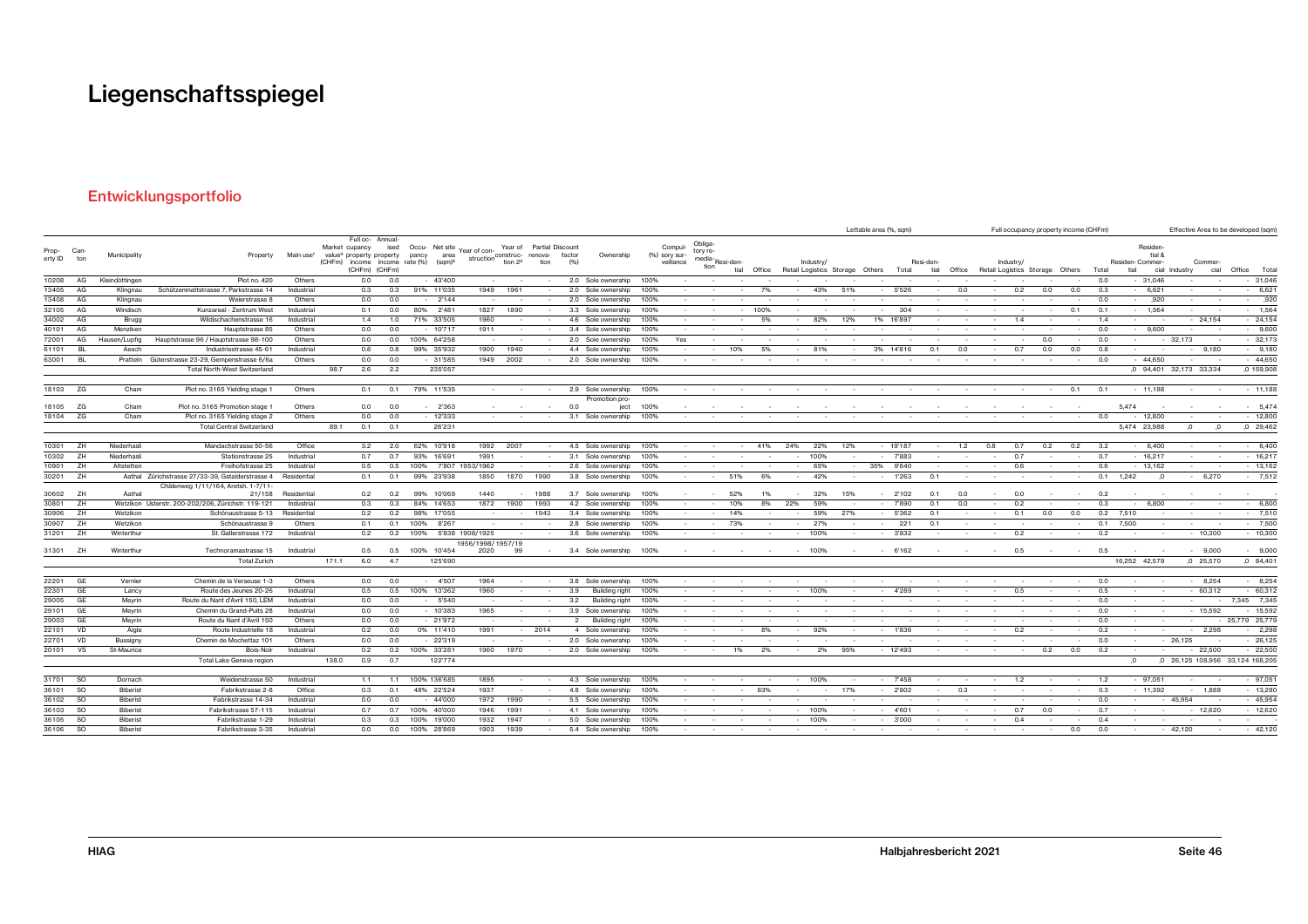### Entwicklungsportfolio

|                           |               |                 |                                                              |                           |                                                        |                                   |            |                                                                                     |                                             |                                |                                 |                |                                          |              |                                       |                                       |          |             |        |            |        | Lettable area (%, sqm)                |                   |        |        |           | Full occupancy property income (CHFm) |        |            |                         |                   |                        |                 | Effective Area to be developed (sqm) |
|---------------------------|---------------|-----------------|--------------------------------------------------------------|---------------------------|--------------------------------------------------------|-----------------------------------|------------|-------------------------------------------------------------------------------------|---------------------------------------------|--------------------------------|---------------------------------|----------------|------------------------------------------|--------------|---------------------------------------|---------------------------------------|----------|-------------|--------|------------|--------|---------------------------------------|-------------------|--------|--------|-----------|---------------------------------------|--------|------------|-------------------------|-------------------|------------------------|-----------------|--------------------------------------|
| Prop- Can-<br>erty ID ton |               | Municipality    | Property                                                     | Main use <sup>1</sup>     | Market cupancy<br>value <sup>4</sup> property property | Full oc- Annual-<br>(CHFm) (CHFm) | ised       | Occu- Net site<br>pancy<br>area<br>(CHFm) income income rate (%) (sqm) <sup>2</sup> | Year of con-<br>struction construc- renova- | Year of<br>tion 2 <sup>3</sup> | <b>Partial Discount</b><br>tion | factor<br>(% ) | Ownership                                |              | Compul-<br>(%) sory sur-<br>veillance | Obliga-<br>tory re-<br>media-<br>tion | Resi-den | tial Office |        | Industry   |        | Retail Logistics Storage Others Total | Resi-den-<br>tial | Office |        | Industry/ | Retail Logistics Storage Others Total |        |            | Residen-Commer-<br>tial | Residen<br>tial & | cial Industry          | Commer-<br>cial | Office Tota                          |
| 10208                     | AG            | Kleindöttingen  | Plot no. 420                                                 | Others                    |                                                        | 0.0                               | 0.0        | $-43'400$                                                                           |                                             |                                |                                 |                | 2.0 Sole ownership                       | 100%         |                                       |                                       |          |             |        |            |        |                                       |                   |        |        |           |                                       |        | 0.0        |                         | $-31,046$         |                        |                 | $-31,046$                            |
| 13405                     | AG            | Klingnau        | Schützenmattstrasse 7, Parkstrasse 14                        | Industrial                |                                                        | 0.3                               | 0.3        | 91% 11'035                                                                          | 1949                                        | 1961                           |                                 |                | 2.0 Sole ownership                       | 100%         |                                       |                                       |          | 7%          |        | 43%        | 51%    | 5'526                                 |                   | 0.0    |        | 0.2       | 0.0                                   | 0.0    | 0.3        |                         | 6,621             |                        |                 | 6,621                                |
|                           | 13408 AG      | Klingnau        | Weierstrasse &                                               | Others                    |                                                        | 0.0                               | 0.0        | $-2'144$                                                                            | $\sim$                                      |                                |                                 |                | 2.0 Sole ownership                       | 100%         |                                       |                                       |          |             |        |            |        |                                       |                   |        |        |           |                                       |        | 0.0        |                         | ,920              |                        |                 | ,920                                 |
| 32105                     | AG            | Windisch        | Kunzareal - Zentrum West                                     | Industrial                |                                                        | 0.1                               | 0.0        | 2'481<br>80%                                                                        | 1827                                        | 1890                           |                                 |                | 3.3 Sole ownership                       | 100%         |                                       |                                       |          | 100%        |        |            |        |                                       | 304               |        |        |           |                                       | 0.1    | 0.1        |                         | 1,564             |                        |                 | $-1,564$                             |
| 34002                     | AG            | Brugg           | Wildischachenstrasse 16                                      | Industrial                |                                                        | 1.4                               | 1.0        | 71% 33'505                                                                          | 1960                                        |                                |                                 |                | 4.6 Sole ownership                       | 100%         |                                       |                                       |          | 5%          |        | 82%        | 12%    | 1% 16'897                             |                   |        |        | 1.4       |                                       |        | 1.4        | $\sim$                  |                   |                        | $-24,154$       | $-24,154$                            |
| 40101                     | AG            | Menziken        | Hauptstrasse 85                                              | Others                    |                                                        | 0.0                               | 0.0        | $-10'717$                                                                           | 1911                                        |                                |                                 |                | 3.4 Sole ownership                       | 100%         |                                       |                                       |          |             |        |            |        |                                       |                   |        |        |           |                                       |        | 0.0        |                         | $-9.600$          | $\sim$                 |                 | $-9,600$                             |
| 72001                     | AG            | Hausen/Lupfig   | Hauptstrasse 96 / Hauptstrasse 98-100                        | Others                    |                                                        | 0.0                               | 0.0        | 100% 64'258                                                                         | $\sim$                                      |                                |                                 |                | 2.0 Sole ownership                       | 100%         | Yes                                   |                                       |          |             |        |            |        |                                       |                   |        |        |           | 0.0                                   |        | 0.0        |                         |                   | $-32,173$              |                 | $-32,173$                            |
| 61101                     | <b>BL</b>     | Aesch           | Industriestrasse 45-61                                       | Industrial                |                                                        | 0.8                               | 0.8        | 99% 35'932                                                                          | 1900                                        | 1940                           |                                 |                | 4.4 Sole ownership                       | 100%         |                                       |                                       | 10%      | 5%          |        | 81%        |        | 3%<br>14'816                          | 0.1               | 0.0    |        | 0.7       | 0.0                                   | 0.0    | 0.8        |                         |                   |                        | 9,180           | $-9,180$                             |
| 63001                     | <b>BL</b>     | Pratteln        | Güterstrasse 23-29, Gempenstrasse 6/6a                       | Others                    |                                                        | 0.0                               | 0.0        | $-31'585$                                                                           | 1949                                        | 2002                           |                                 |                | 2.0 Sole ownership                       | 100%         |                                       |                                       |          |             |        |            |        |                                       |                   |        |        |           |                                       |        | 0.0        |                         | $-44.650$         | $\sim$                 |                 | $-44.650$                            |
|                           |               |                 | <b>Total North-West Switzerland</b>                          |                           | 98.7                                                   | 2.6                               | 2.2        | 235'057                                                                             |                                             |                                |                                 |                |                                          |              |                                       |                                       |          |             |        |            |        |                                       |                   |        |        |           |                                       |        |            |                         |                   | 0 94,401 32,173 33,334 |                 | ,0 159,908                           |
|                           | 18103 ZG      | Cham            | Plot no. 3165 Yielding stage 1                               | Others                    |                                                        | 0.1                               | 0.1        | 79% 11'535                                                                          |                                             |                                |                                 |                | 2.9 Sole ownership                       | 100%         |                                       |                                       |          |             |        |            |        |                                       |                   |        |        |           |                                       | 0.1    | 0.1        |                         | $-11,188$         |                        |                 | $-11,188$                            |
|                           | 18105 ZG      | Cham            | Plot no. 3165 Promotion stage                                | Others                    |                                                        | 0.0                               | 0.0        | $-2'363$                                                                            |                                             |                                |                                 | 0.0            | Promotion pro-<br>ject                   | 100%         |                                       |                                       |          |             |        |            |        |                                       |                   |        |        |           |                                       |        |            | 5,474                   |                   |                        |                 | 5,474                                |
|                           | 18104 ZG      | Cham            | Plot no. 3165 Yielding stage 2                               | Others                    |                                                        | 0.0                               | 0.0        | $-12'333$                                                                           |                                             |                                |                                 |                | 3.1 Sole ownership                       | 100%         |                                       |                                       |          |             |        |            |        |                                       |                   |        |        |           |                                       |        | 0.0        |                         | $-12,800$         |                        |                 | $-12,800$                            |
|                           |               |                 | <b>Total Central Switzerland</b>                             |                           | 89.1                                                   | 0.1                               | 0.1        | 26'231                                                                              |                                             |                                |                                 |                |                                          |              |                                       |                                       |          |             |        |            |        |                                       |                   |        |        |           |                                       |        |            | 5,474 23,988            |                   |                        | $\Omega$        | $,0$ 29,462                          |
|                           |               |                 |                                                              |                           |                                                        |                                   |            |                                                                                     |                                             |                                |                                 |                |                                          |              |                                       |                                       |          |             |        |            |        |                                       |                   |        |        |           |                                       |        |            |                         |                   |                        |                 |                                      |
|                           | 10301 ZH      | Niederhasli     | Mandachstrasse 50-56                                         | Office                    |                                                        | 3.2                               | 2.0        | 10'918<br>62%                                                                       | 1992                                        | 2007                           |                                 |                | 4.5 Sole ownership                       | 100%         |                                       |                                       |          | 41%         | 24%    | 22%        | 12%    | $-19'187$                             |                   | 1.2    | 0.8    | 0.7       | 0.2                                   | 0.2    | 3.2        |                         | 6.400             |                        |                 | 6,400                                |
|                           | 10302 ZH      | Niederhasli     | Stationstrasse 25                                            | Industrial                |                                                        | 0.7                               | 0.7        | 93%<br>16'691                                                                       | 1991                                        |                                |                                 |                | 3.1 Sole ownership                       | 100%         |                                       |                                       |          |             |        | 100%       | $\sim$ | $-7'883$                              |                   |        |        | 0.7       |                                       |        | 0.7        |                         | $-16,217$         |                        |                 | $-16,217$                            |
| 10901                     | ZH            | Altstetten      | Freihofstrasse 25                                            | Industrial                |                                                        | 0.5                               | 0.5        | 100%<br>7'807                                                                       | 1953/1962                                   |                                |                                 |                | 2.6 Sole ownership                       | 100%         |                                       |                                       |          |             |        | 65%        | $\sim$ | 35%<br>9'640                          |                   |        |        | 0.6       |                                       |        | 0.6        |                         | $-13,162$         | $\sim$                 |                 | $-13,162$                            |
|                           | 30201 ZH      |                 | Aathal Zürichstrasse 27/33-39, Gstalderstrasse 4             | Residential               |                                                        | 0.1                               | 0.1        | 99% 23'938                                                                          | 1850                                        | 1870                           | 1990                            |                | 3.8 Sole ownership                       | 100%         |                                       |                                       | 51%      | 6%          | $\sim$ | 42%        | $\sim$ | $-1'263$                              | 0.1               |        | $\sim$ |           |                                       | $\sim$ | 0.1        | 1,242                   | $\sqrt{2}$        | $\sim$                 | 6,270           | $-7,512$                             |
|                           | 30602 ZH      |                 | Chälenweg 1/11/164, Aretsh. 1-7/11-                          |                           |                                                        |                                   |            | 99% 10'069                                                                          |                                             |                                |                                 |                |                                          |              |                                       |                                       | 52%      |             |        |            | 15%    | 2'102<br>$\sim$                       |                   | 0.0    | $\sim$ | 0.0       |                                       |        |            |                         |                   |                        |                 |                                      |
| 30801                     | ZH            | Aathal          | 21/158<br>Wetzikon Usterstr. 200-202/206, Zürichstr. 119-121 | Residential<br>Industrial |                                                        | 0.2<br>0.3                        | 0.2<br>0.3 | 84% 14'653                                                                          | 1440<br>1872                                | 1900                           | 1988<br>1993                    |                | 3.7 Sole ownership<br>4.2 Sole ownership | 100%<br>100% |                                       | $\sim$                                | 10%      | 8%          | 22%    | 32%<br>59% |        | 7'890<br>$\sim$                       | 0.1<br>0.1        | 0.0    | $\sim$ | 0.2       |                                       |        | 0.2<br>0.3 |                         | 6,800             |                        |                 | 6,800<br>$\sim$                      |
| 30906                     | ZH            | Wetzikon        | Schönaustrasse 5-13                                          | Residential               |                                                        | 0.2                               | 0.2        | 98% 17'055                                                                          |                                             |                                | 1943                            |                | 3.4 Sole ownership                       | 100%         |                                       |                                       | 14%      |             |        | 59%        | 27%    | 5'362                                 | 0.1               |        | $\sim$ | 0.1       | 0.0                                   | 0.0    | 0.2        | 7.510                   |                   |                        |                 | 7,510<br>$\sim$                      |
| 30907                     | ZH            | Wetzikon        | Schönaustrasse 9                                             | Others                    |                                                        | 0.1                               | 0.1        | 100%<br>8'267                                                                       |                                             |                                |                                 |                | 2.8 Sole ownership                       | 100%         |                                       | $\sim$                                | 73%      |             | $\sim$ | 27%        |        | $\sim$                                | 221<br>0.1        |        | $\sim$ |           |                                       |        | 0.1        | 7.500                   |                   | $\sim$                 |                 | 7,500                                |
|                           | 31201 ZH      | Winterthur      | St. Gallerstrasse 172                                        | Industrial                |                                                        | 0.2                               | 0.2        | 100%                                                                                | 5'838 1908/1925                             |                                |                                 |                | 3.6 Sole ownership                       | 100%         |                                       |                                       |          |             |        | 100%       | $\sim$ | 3'832                                 |                   | $\sim$ | $\sim$ | 0.2       |                                       |        | 0.2        |                         |                   |                        | 10,300          | $-10,300$                            |
|                           |               |                 |                                                              |                           |                                                        |                                   |            |                                                                                     | 1956/1998/1957/19                           |                                |                                 |                |                                          |              |                                       |                                       |          |             |        |            |        |                                       |                   |        |        |           |                                       |        |            |                         |                   |                        |                 |                                      |
|                           | 31301 ZH      | Winterthur      | Technoramastrasse 15                                         | Industrial                |                                                        | 0.5                               | 0.5        | 100% 10'454                                                                         | 2020                                        | 99                             |                                 |                | 3.4 Sole ownership 100%                  |              |                                       |                                       |          | $\sim$      |        | $- 100%$   | $\sim$ | $-6'162$                              |                   | $\sim$ | $\sim$ | 0.5       | $\sim$                                | $\sim$ | 0.5        | $\sim$                  |                   |                        | $-9,000$        | $-9,000$                             |
|                           |               |                 | <b>Total Zurich</b>                                          |                           | 171.1                                                  | 6.0                               | 4.7        | 125'690                                                                             |                                             |                                |                                 |                |                                          |              |                                       |                                       |          |             |        |            |        |                                       |                   |        |        |           |                                       |        |            | 16,252 42,579           |                   | $,0$ 25,570            |                 | $,0$ 84,401                          |
| 22201                     | GE            | Vernier         |                                                              | Others                    |                                                        | 0.0                               | 0.0        | 4'507                                                                               | 1964                                        |                                |                                 |                | 3.8 Sole ownership                       |              |                                       |                                       |          |             |        |            |        |                                       |                   |        |        |           |                                       |        | 0.0        |                         |                   |                        | 8.254           | $-8,254$                             |
| 22301                     | GE            | Lancy           | Chemin de la Verseuse 1-3<br>Route des Jeunes 20-26          | Industrial                |                                                        | 0.5                               | 0.5        | 100% 13'362                                                                         | 1960                                        |                                |                                 | 3.9            | Building right                           | 100%<br>100% |                                       |                                       |          |             |        | 100%       |        | 4'289                                 |                   |        |        | 0.5       |                                       |        | 0.5        |                         |                   |                        | 60,312          | $-60,312$                            |
| 29005                     | GE            | Meyrin          | Route du Nant d'Avril 150, LEM                               | Industrial                |                                                        | 0.0                               | 0.0        | 5'540                                                                               |                                             |                                |                                 | 3.2            | Building right                           | 100%         |                                       |                                       |          |             |        |            |        |                                       |                   |        |        |           |                                       |        | 0.0        |                         |                   |                        |                 | 7,345 7,345                          |
| 29101                     | GE            | Meyrin          | Chemin du Grand-Puits 28                                     | Industrial                |                                                        | 0.0                               | 0.0        | $-10'383$                                                                           | 1965                                        |                                |                                 |                | 3.9 Sole ownership                       | 100%         |                                       |                                       |          |             |        |            |        |                                       |                   |        |        |           |                                       |        | 0.0        |                         |                   |                        | $-15,592$       | $-15,592$                            |
| 29003                     | GE            | Meyrin          | Route du Nant d'Avril 150                                    | Others                    |                                                        | 0.0                               | 0.0        | $-21'972$                                                                           |                                             |                                |                                 |                | $\overline{2}$<br>Building right         | 100%         |                                       |                                       |          |             |        |            |        |                                       |                   |        |        |           |                                       |        | 0.0        |                         |                   | $\sim$                 |                 | - 25,779 25,779                      |
| 22101                     | <b>VD</b>     | Aigle           | Route Industrielle 18                                        | Industrial                |                                                        | 0.2                               | 0.0        | 0% 11'410                                                                           | 1991                                        |                                | 2014                            |                | 4 Sole ownership                         | 100%         |                                       |                                       |          | 8%          |        | 92%        |        | 1'836                                 |                   |        |        | 0.2       |                                       |        | 0.2        |                         |                   | $\sim$                 | 2,298           | $-2,298$                             |
| 22701                     | <b>VD</b>     | Bussigny        | Chemin de Mochettaz 101                                      | Others                    |                                                        | 0.0                               | 0.0        | $-22319$                                                                            | $\sim$                                      |                                |                                 |                | 2.0 Sole ownership                       | 100%         |                                       |                                       |          |             |        |            |        |                                       |                   |        |        |           |                                       |        | 0.0        |                         |                   | $-26,125$              |                 | $-26,125$                            |
| 20101                     | vs            | St-Maurice      | Bois-Noir                                                    | Industrial                |                                                        | 0.2                               | 0.2        | 100% 33'281                                                                         | 1960                                        | 1970                           |                                 |                | 2.0 Sole ownership                       | 100%         |                                       |                                       | 1%       | 2%          |        | 2%         | 95%    | $-12'493$                             |                   |        |        |           | 0.2                                   | 0.0    | 0.2        |                         |                   |                        | 22,500          | $-22,500$                            |
|                           |               |                 | Total Lake Geneva region                                     |                           | 138.0                                                  | 0.9                               | 0.7        | 122'774                                                                             |                                             |                                |                                 |                |                                          |              |                                       |                                       |          |             |        |            |        |                                       |                   |        |        |           |                                       |        |            | $\Omega$                |                   |                        |                 | ,0 26,125 108,956 33,124 168,205     |
|                           |               |                 |                                                              |                           |                                                        |                                   |            |                                                                                     |                                             |                                |                                 |                |                                          |              |                                       |                                       |          |             |        |            |        |                                       |                   |        |        |           |                                       |        |            |                         |                   |                        |                 |                                      |
|                           | 31701 SO      | Dornach         | Weidenstrasse 50                                             | Industrial                |                                                        | 1.1                               | 1.1        | 100% 136'685                                                                        | 1895                                        |                                |                                 |                | 4.3 Sole ownership                       | 100%         |                                       |                                       |          |             |        | 100%       |        | 7'458                                 |                   |        |        | 1.2       |                                       |        | 1.2        |                         | 97,051            |                        |                 | $-97,051$                            |
| 36101                     | <b>SO</b>     | Biberist        | Fabrikstrasse 2-8                                            | Office                    |                                                        | 0.3                               | 0.1        | 48% 22'524                                                                          | 1937                                        |                                |                                 |                | 4.8 Sole ownership                       | 100%         |                                       |                                       |          | 83%         |        |            | 17%    | $-2'802$                              |                   | 0.3    |        |           |                                       |        | 0.3        |                         | $-11,392$         | $\sim$                 | 1,888           | $-13,280$                            |
|                           | 36102 SO      | Biberist        | Fabrikstrasse 14-34                                          | Industrial                |                                                        | 0.0                               | 0.0        | 44'000                                                                              | 1972                                        | 1990                           |                                 |                | 5.5 Sole ownership                       | 100%         |                                       |                                       |          |             |        |            |        |                                       |                   |        |        |           |                                       |        | 0.0        |                         |                   | 45,954                 |                 | $-45,954$                            |
| 36103                     | <b>SO</b>     | <b>Biberist</b> | Fabrikstrasse 57-115                                         | Industrial                |                                                        | 0.7                               | 0.7        | 100% 40'000                                                                         | 1946                                        | 1991                           |                                 |                | 4.1 Sole ownership                       | 100%         |                                       |                                       |          |             |        | 100%       |        | $-4'601$                              |                   |        |        | 0.7       | 0.0                                   |        | 0.7        |                         |                   |                        | $-12,620$       | $-12,620$                            |
| 36105                     | <sub>so</sub> | Biberist        | Fabrikstrasse 1-29                                           | Industrial                |                                                        | 0.3                               | 0.3        | 100% 19'000                                                                         | 1932                                        | 1947                           |                                 |                | 5.0 Sole ownership                       | 100%         |                                       |                                       |          |             |        | 100%       |        | $-3,000$                              |                   |        |        | 0.4       |                                       |        | 0.4        |                         |                   |                        |                 |                                      |
|                           | 36106 SO      | <b>Biberist</b> | Fabrikstrasse 3-35                                           | Industrial                |                                                        | 0.0                               | 0.0        | 100% 28'869                                                                         | 1903                                        | 1939                           |                                 |                | 5.4 Sole ownership                       | 100%         |                                       |                                       |          |             |        |            |        |                                       |                   |        |        |           |                                       | 0.0    | 0.0        |                         |                   | $-42.120$              |                 | $-42,120$                            |